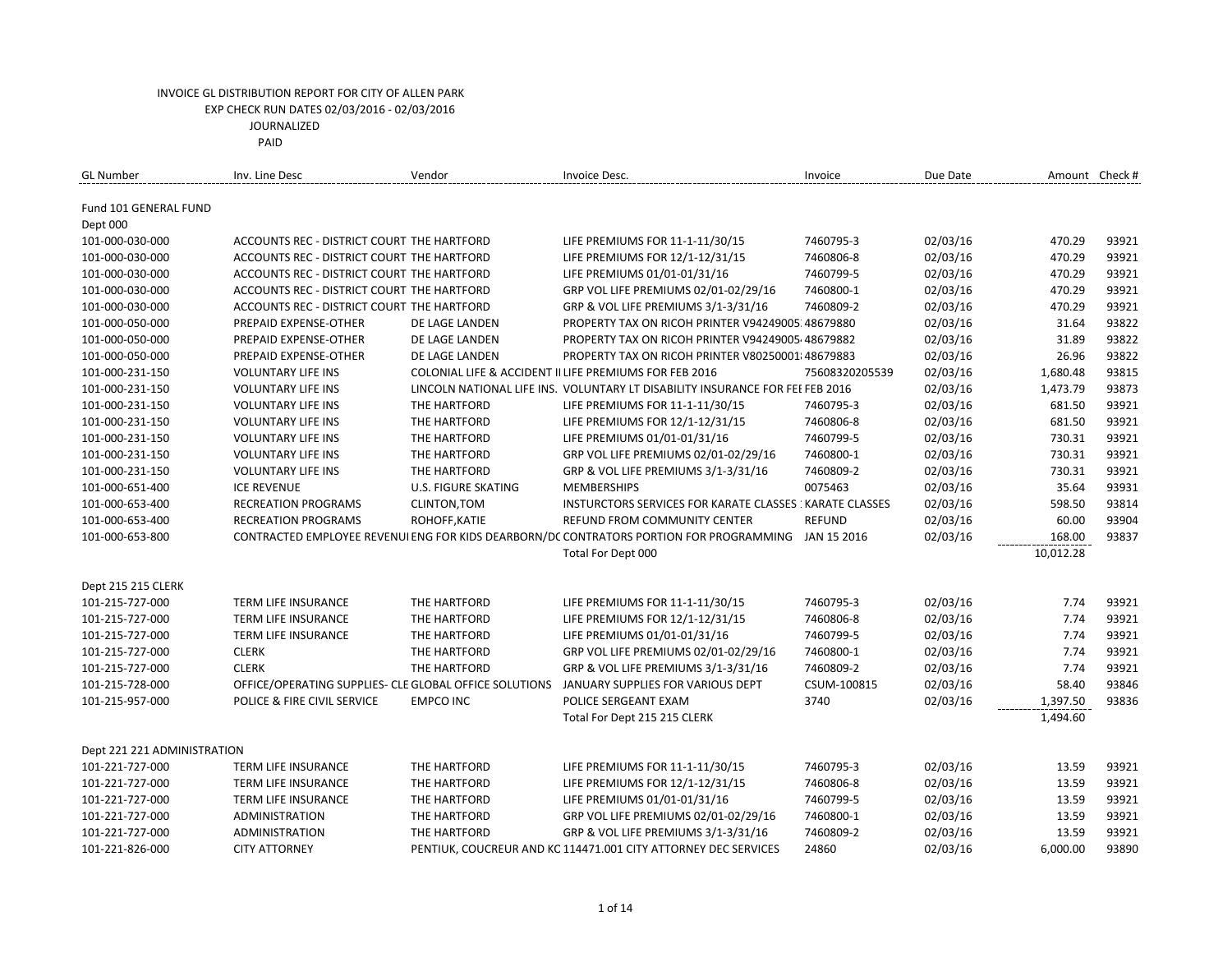| <b>GL Number</b>                   | Inv. Line Desc                                         | Vendor                       | Invoice Desc.                                                                           | Invoice                | Due Date             | Amount Check # |       |
|------------------------------------|--------------------------------------------------------|------------------------------|-----------------------------------------------------------------------------------------|------------------------|----------------------|----------------|-------|
| Fund 101 GENERAL FUND              |                                                        |                              |                                                                                         |                        |                      |                |       |
| Dept 000                           |                                                        |                              |                                                                                         |                        |                      |                |       |
| 101-000-030-000                    | ACCOUNTS REC - DISTRICT COURT THE HARTFORD             |                              | LIFE PREMIUMS FOR 11-1-11/30/15                                                         | 7460795-3              | 02/03/16             | 470.29         | 93921 |
| 101-000-030-000                    | ACCOUNTS REC - DISTRICT COURT THE HARTFORD             |                              | LIFE PREMIUMS FOR 12/1-12/31/15                                                         | 7460806-8              | 02/03/16             | 470.29         | 93921 |
| 101-000-030-000                    | ACCOUNTS REC - DISTRICT COURT THE HARTFORD             |                              | LIFE PREMIUMS 01/01-01/31/16                                                            | 7460799-5              | 02/03/16             | 470.29         | 93921 |
| 101-000-030-000                    | ACCOUNTS REC - DISTRICT COURT THE HARTFORD             |                              | GRP VOL LIFE PREMIUMS 02/01-02/29/16                                                    | 7460800-1              | 02/03/16             | 470.29         | 93921 |
| 101-000-030-000                    | ACCOUNTS REC - DISTRICT COURT THE HARTFORD             |                              | GRP & VOL LIFE PREMIUMS 3/1-3/31/16                                                     | 7460809-2              | 02/03/16             | 470.29         | 93921 |
| 101-000-050-000                    | PREPAID EXPENSE-OTHER                                  | DE LAGE LANDEN               | PROPERTY TAX ON RICOH PRINTER V94249005 48679880                                        |                        | 02/03/16             | 31.64          | 93822 |
| 101-000-050-000                    | PREPAID EXPENSE-OTHER                                  | DE LAGE LANDEN               | PROPERTY TAX ON RICOH PRINTER V94249005 48679882                                        |                        | 02/03/16             | 31.89          | 93822 |
| 101-000-050-000                    | PREPAID EXPENSE-OTHER                                  | DE LAGE LANDEN               | PROPERTY TAX ON RICOH PRINTER V80250001 48679883                                        |                        | 02/03/16             | 26.96          | 93822 |
| 101-000-231-150                    | <b>VOLUNTARY LIFE INS</b>                              |                              | COLONIAL LIFE & ACCIDENT II LIFE PREMIUMS FOR FEB 2016                                  | 75608320205539         | 02/03/16             | 1,680.48       | 93815 |
| 101-000-231-150                    | <b>VOLUNTARY LIFE INS</b>                              |                              | LINCOLN NATIONAL LIFE INS. VOLUNTARY LT DISABILITY INSURANCE FOR FEI FEB 2016           |                        | 02/03/16             | 1,473.79       | 93873 |
| 101-000-231-150                    | <b>VOLUNTARY LIFE INS</b>                              | THE HARTFORD                 | LIFE PREMIUMS FOR 11-1-11/30/15                                                         | 7460795-3              | 02/03/16             | 681.50         | 93921 |
| 101-000-231-150                    | <b>VOLUNTARY LIFE INS</b>                              | THE HARTFORD                 | LIFE PREMIUMS FOR 12/1-12/31/15                                                         | 7460806-8              | 02/03/16             | 681.50         | 93921 |
| 101-000-231-150                    | <b>VOLUNTARY LIFE INS</b>                              | THE HARTFORD                 | LIFE PREMIUMS 01/01-01/31/16                                                            | 7460799-5              | 02/03/16             | 730.31         | 93921 |
| 101-000-231-150                    | <b>VOLUNTARY LIFE INS</b>                              | THE HARTFORD                 | GRP VOL LIFE PREMIUMS 02/01-02/29/16                                                    | 7460800-1              | 02/03/16             | 730.31         | 93921 |
| 101-000-231-150                    | <b>VOLUNTARY LIFE INS</b>                              | THE HARTFORD                 | GRP & VOL LIFE PREMIUMS 3/1-3/31/16                                                     | 7460809-2              | 02/03/16             | 730.31         | 93921 |
| 101-000-651-400                    | <b>ICE REVENUE</b>                                     | <b>U.S. FIGURE SKATING</b>   | <b>MEMBERSHIPS</b>                                                                      | 0075463                | 02/03/16             | 35.64          | 93931 |
| 101-000-653-400                    | <b>RECREATION PROGRAMS</b>                             | CLINTON, TOM                 | INSTURCTORS SERVICES FOR KARATE CLASSES : KARATE CLASSES                                |                        | 02/03/16             | 598.50         | 93814 |
| 101-000-653-400                    | <b>RECREATION PROGRAMS</b>                             | ROHOFF, KATIE                | REFUND FROM COMMUNITY CENTER                                                            | <b>REFUND</b>          | 02/03/16             | 60.00          | 93904 |
| 101-000-653-800                    |                                                        |                              | CONTRACTED EMPLOYEE REVENUI ENG FOR KIDS DEARBORN/DC CONTRATORS PORTION FOR PROGRAMMING | JAN 15 2016            | 02/03/16             | 168.00         | 93837 |
|                                    |                                                        |                              | Total For Dept 000                                                                      |                        |                      | 10,012.28      |       |
| Dept 215 215 CLERK                 |                                                        |                              |                                                                                         |                        |                      |                |       |
| 101-215-727-000                    | TERM LIFE INSURANCE                                    | THE HARTFORD                 | LIFE PREMIUMS FOR 11-1-11/30/15                                                         | 7460795-3              | 02/03/16             | 7.74           | 93921 |
| 101-215-727-000                    | TERM LIFE INSURANCE                                    | THE HARTFORD                 | LIFE PREMIUMS FOR 12/1-12/31/15                                                         | 7460806-8              | 02/03/16             | 7.74           | 93921 |
| 101-215-727-000                    | <b>TERM LIFE INSURANCE</b>                             | THE HARTFORD                 | LIFE PREMIUMS 01/01-01/31/16                                                            | 7460799-5              | 02/03/16             | 7.74           | 93921 |
| 101-215-727-000                    | <b>CLERK</b>                                           | THE HARTFORD                 | GRP VOL LIFE PREMIUMS 02/01-02/29/16                                                    | 7460800-1              | 02/03/16             | 7.74           | 93921 |
| 101-215-727-000                    | <b>CLERK</b>                                           | THE HARTFORD                 | GRP & VOL LIFE PREMIUMS 3/1-3/31/16                                                     | 7460809-2              | 02/03/16             | 7.74           | 93921 |
| 101-215-728-000                    | OFFICE/OPERATING SUPPLIES- CLE GLOBAL OFFICE SOLUTIONS |                              | JANUARY SUPPLIES FOR VARIOUS DEPT                                                       | CSUM-100815            | 02/03/16             | 58.40          | 93846 |
| 101-215-957-000                    | POLICE & FIRE CIVIL SERVICE                            | <b>EMPCO INC</b>             | POLICE SERGEANT EXAM                                                                    | 3740                   | 02/03/16             | 1,397.50       | 93836 |
|                                    |                                                        |                              | Total For Dept 215 215 CLERK                                                            |                        |                      | 1,494.60       |       |
| Dept 221 221 ADMINISTRATION        |                                                        |                              |                                                                                         |                        |                      |                |       |
| 101-221-727-000                    | <b>TERM LIFE INSURANCE</b>                             |                              | LIFE PREMIUMS FOR 11-1-11/30/15                                                         |                        | 02/03/16             | 13.59          | 93921 |
|                                    |                                                        | THE HARTFORD                 |                                                                                         | 7460795-3              | 02/03/16             | 13.59          | 93921 |
| 101-221-727-000                    | <b>TERM LIFE INSURANCE</b>                             | THE HARTFORD                 | LIFE PREMIUMS FOR 12/1-12/31/15                                                         | 7460806-8              |                      | 13.59          | 93921 |
| 101-221-727-000                    | <b>TERM LIFE INSURANCE</b>                             | THE HARTFORD                 | LIFE PREMIUMS 01/01-01/31/16<br>GRP VOL LIFE PREMIUMS 02/01-02/29/16                    | 7460799-5              | 02/03/16<br>02/03/16 | 13.59          | 93921 |
| 101-221-727-000<br>101-221-727-000 | ADMINISTRATION<br><b>ADMINISTRATION</b>                | THE HARTFORD<br>THE HARTFORD | GRP & VOL LIFE PREMIUMS 3/1-3/31/16                                                     | 7460800-1<br>7460809-2 | 02/03/16             | 13.59          | 93921 |
| 101-221-826-000                    | <b>CITY ATTORNEY</b>                                   |                              | PENTIUK, COUCREUR AND KC 114471.001 CITY ATTORNEY DEC SERVICES                          | 24860                  | 02/03/16             | 6,000.00       | 93890 |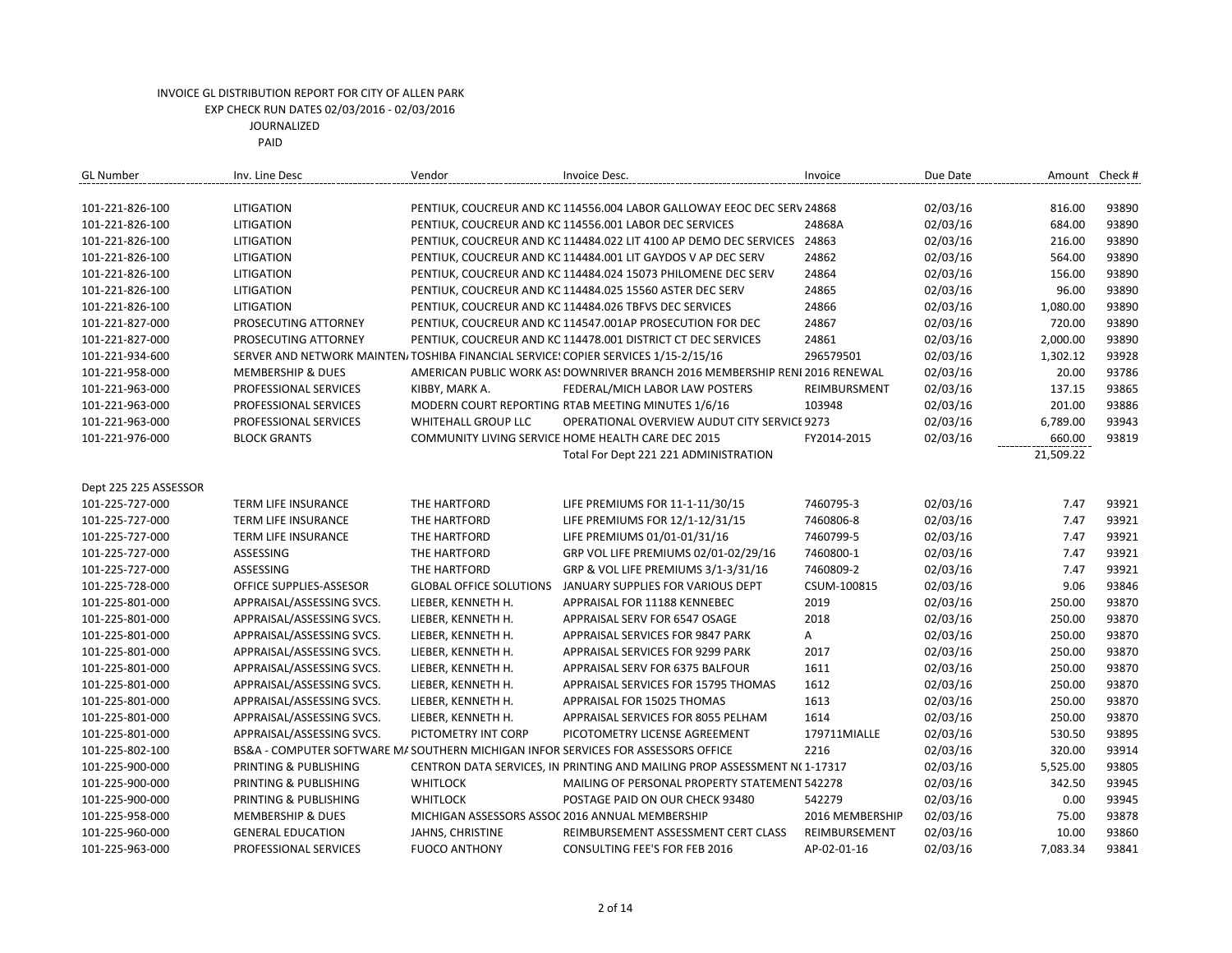| <b>GL Number</b>      | Inv. Line Desc               | Vendor                         | Invoice Desc.                                                                      | Invoice         | Due Date |           | Amount Check # |
|-----------------------|------------------------------|--------------------------------|------------------------------------------------------------------------------------|-----------------|----------|-----------|----------------|
|                       |                              |                                |                                                                                    |                 |          |           |                |
| 101-221-826-100       | LITIGATION                   |                                | PENTIUK, COUCREUR AND KC 114556.004 LABOR GALLOWAY EEOC DEC SERV 24868             |                 | 02/03/16 | 816.00    | 93890          |
| 101-221-826-100       | LITIGATION                   |                                | PENTIUK, COUCREUR AND KC 114556.001 LABOR DEC SERVICES                             | 24868A          | 02/03/16 | 684.00    | 93890          |
| 101-221-826-100       | LITIGATION                   |                                | PENTIUK, COUCREUR AND KC 114484.022 LIT 4100 AP DEMO DEC SERVICES 24863            |                 | 02/03/16 | 216.00    | 93890          |
| 101-221-826-100       | LITIGATION                   |                                | PENTIUK, COUCREUR AND KC 114484.001 LIT GAYDOS V AP DEC SERV                       | 24862           | 02/03/16 | 564.00    | 93890          |
| 101-221-826-100       | LITIGATION                   |                                | PENTIUK, COUCREUR AND KC 114484.024 15073 PHILOMENE DEC SERV                       | 24864           | 02/03/16 | 156.00    | 93890          |
| 101-221-826-100       | LITIGATION                   |                                | PENTIUK, COUCREUR AND KC 114484.025 15560 ASTER DEC SERV                           | 24865           | 02/03/16 | 96.00     | 93890          |
| 101-221-826-100       | LITIGATION                   |                                | PENTIUK, COUCREUR AND KC 114484.026 TBFVS DEC SERVICES                             | 24866           | 02/03/16 | 1,080.00  | 93890          |
| 101-221-827-000       | PROSECUTING ATTORNEY         |                                | PENTIUK, COUCREUR AND KC 114547.001AP PROSECUTION FOR DEC                          | 24867           | 02/03/16 | 720.00    | 93890          |
| 101-221-827-000       | PROSECUTING ATTORNEY         |                                | PENTIUK, COUCREUR AND KC 114478.001 DISTRICT CT DEC SERVICES                       | 24861           | 02/03/16 | 2,000.00  | 93890          |
| 101-221-934-600       |                              |                                | SERVER AND NETWORK MAINTEN/TOSHIBA FINANCIAL SERVICE: COPIER SERVICES 1/15-2/15/16 | 296579501       | 02/03/16 | 1,302.12  | 93928          |
| 101-221-958-000       | <b>MEMBERSHIP &amp; DUES</b> |                                | AMERICAN PUBLIC WORK AS! DOWNRIVER BRANCH 2016 MEMBERSHIP RENI 2016 RENEWAL        |                 | 02/03/16 | 20.00     | 93786          |
| 101-221-963-000       | PROFESSIONAL SERVICES        | KIBBY, MARK A.                 | FEDERAL/MICH LABOR LAW POSTERS                                                     | REIMBURSMENT    | 02/03/16 | 137.15    | 93865          |
| 101-221-963-000       | PROFESSIONAL SERVICES        |                                | MODERN COURT REPORTING RTAB MEETING MINUTES 1/6/16                                 | 103948          | 02/03/16 | 201.00    | 93886          |
| 101-221-963-000       | PROFESSIONAL SERVICES        | WHITEHALL GROUP LLC            | OPERATIONAL OVERVIEW AUDUT CITY SERVICE 9273                                       |                 | 02/03/16 | 6,789.00  | 93943          |
| 101-221-976-000       | <b>BLOCK GRANTS</b>          |                                | COMMUNITY LIVING SERVICE HOME HEALTH CARE DEC 2015                                 | FY2014-2015     | 02/03/16 | 660.00    | 93819          |
|                       |                              |                                | Total For Dept 221 221 ADMINISTRATION                                              |                 |          | 21,509.22 |                |
|                       |                              |                                |                                                                                    |                 |          |           |                |
| Dept 225 225 ASSESSOR |                              |                                |                                                                                    |                 |          |           |                |
| 101-225-727-000       | TERM LIFE INSURANCE          | THE HARTFORD                   | LIFE PREMIUMS FOR 11-1-11/30/15                                                    | 7460795-3       | 02/03/16 | 7.47      | 93921          |
| 101-225-727-000       | <b>TERM LIFE INSURANCE</b>   | THE HARTFORD                   | LIFE PREMIUMS FOR 12/1-12/31/15                                                    | 7460806-8       | 02/03/16 | 7.47      | 93921          |
| 101-225-727-000       | <b>TERM LIFE INSURANCE</b>   | THE HARTFORD                   | LIFE PREMIUMS 01/01-01/31/16                                                       | 7460799-5       | 02/03/16 | 7.47      | 93921          |
| 101-225-727-000       | ASSESSING                    | THE HARTFORD                   | GRP VOL LIFE PREMIUMS 02/01-02/29/16                                               | 7460800-1       | 02/03/16 | 7.47      | 93921          |
| 101-225-727-000       | ASSESSING                    | THE HARTFORD                   | GRP & VOL LIFE PREMIUMS 3/1-3/31/16                                                | 7460809-2       | 02/03/16 | 7.47      | 93921          |
| 101-225-728-000       | OFFICE SUPPLIES-ASSESOR      | <b>GLOBAL OFFICE SOLUTIONS</b> | JANUARY SUPPLIES FOR VARIOUS DEPT                                                  | CSUM-100815     | 02/03/16 | 9.06      | 93846          |
| 101-225-801-000       | APPRAISAL/ASSESSING SVCS.    | LIEBER, KENNETH H.             | APPRAISAL FOR 11188 KENNEBEC                                                       | 2019            | 02/03/16 | 250.00    | 93870          |
| 101-225-801-000       | APPRAISAL/ASSESSING SVCS.    | LIEBER, KENNETH H.             | APPRAISAL SERV FOR 6547 OSAGE                                                      | 2018            | 02/03/16 | 250.00    | 93870          |
| 101-225-801-000       | APPRAISAL/ASSESSING SVCS.    | LIEBER, KENNETH H.             | APPRAISAL SERVICES FOR 9847 PARK                                                   | A               | 02/03/16 | 250.00    | 93870          |
| 101-225-801-000       | APPRAISAL/ASSESSING SVCS.    | LIEBER, KENNETH H.             | APPRAISAL SERVICES FOR 9299 PARK                                                   | 2017            | 02/03/16 | 250.00    | 93870          |
| 101-225-801-000       | APPRAISAL/ASSESSING SVCS.    | LIEBER, KENNETH H.             | APPRAISAL SERV FOR 6375 BALFOUR                                                    | 1611            | 02/03/16 | 250.00    | 93870          |
| 101-225-801-000       | APPRAISAL/ASSESSING SVCS.    | LIEBER, KENNETH H.             | APPRAISAL SERVICES FOR 15795 THOMAS                                                | 1612            | 02/03/16 | 250.00    | 93870          |
| 101-225-801-000       | APPRAISAL/ASSESSING SVCS.    | LIEBER, KENNETH H.             | APPRAISAL FOR 15025 THOMAS                                                         | 1613            | 02/03/16 | 250.00    | 93870          |
| 101-225-801-000       | APPRAISAL/ASSESSING SVCS.    | LIEBER, KENNETH H.             | APPRAISAL SERVICES FOR 8055 PELHAM                                                 | 1614            | 02/03/16 | 250.00    | 93870          |
| 101-225-801-000       | APPRAISAL/ASSESSING SVCS.    | PICTOMETRY INT CORP            | PICOTOMETRY LICENSE AGREEMENT                                                      | 179711MIALLE    | 02/03/16 | 530.50    | 93895          |
| 101-225-802-100       |                              |                                | BS&A - COMPUTER SOFTWARE M/ SOUTHERN MICHIGAN INFOR SERVICES FOR ASSESSORS OFFICE  | 2216            | 02/03/16 | 320.00    | 93914          |
| 101-225-900-000       | PRINTING & PUBLISHING        |                                | CENTRON DATA SERVICES, IN PRINTING AND MAILING PROP ASSESSMENT N(1-17317           |                 | 02/03/16 | 5,525.00  | 93805          |
| 101-225-900-000       | PRINTING & PUBLISHING        | <b>WHITLOCK</b>                | MAILING OF PERSONAL PROPERTY STATEMENT 542278                                      |                 | 02/03/16 | 342.50    | 93945          |
| 101-225-900-000       | PRINTING & PUBLISHING        | <b>WHITLOCK</b>                | POSTAGE PAID ON OUR CHECK 93480                                                    | 542279          | 02/03/16 | 0.00      | 93945          |
| 101-225-958-000       | <b>MEMBERSHIP &amp; DUES</b> |                                | MICHIGAN ASSESSORS ASSOC 2016 ANNUAL MEMBERSHIP                                    | 2016 MEMBERSHIP | 02/03/16 | 75.00     | 93878          |
| 101-225-960-000       | <b>GENERAL EDUCATION</b>     | JAHNS, CHRISTINE               | REIMBURSEMENT ASSESSMENT CERT CLASS                                                | REIMBURSEMENT   | 02/03/16 | 10.00     | 93860          |
| 101-225-963-000       | PROFESSIONAL SERVICES        | <b>FUOCO ANTHONY</b>           | CONSULTING FEE'S FOR FEB 2016                                                      | AP-02-01-16     | 02/03/16 | 7,083.34  | 93841          |
|                       |                              |                                |                                                                                    |                 |          |           |                |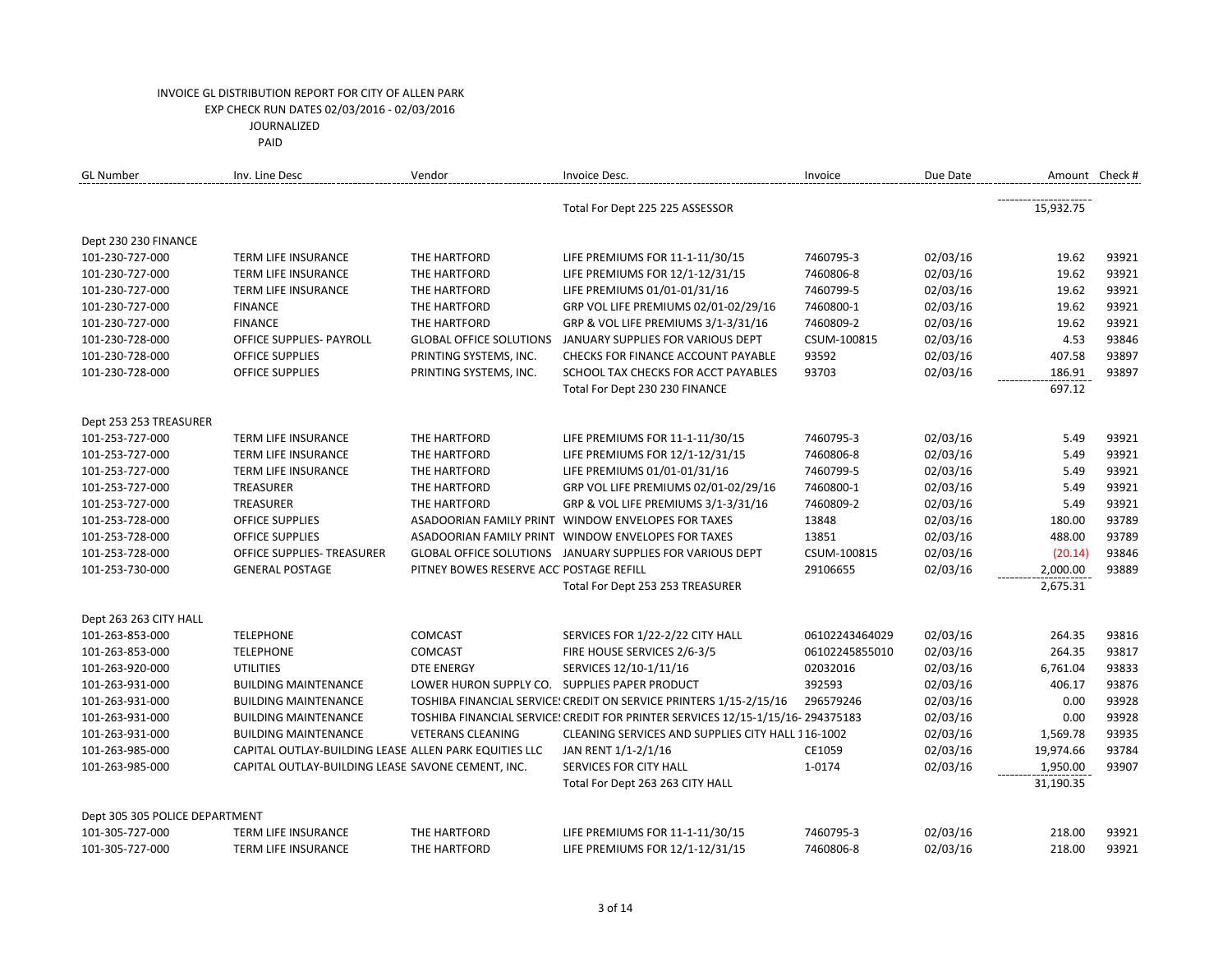| <b>GL Number</b>               | Inv. Line Desc                                        | Vendor                                        | Invoice Desc.                                                                  | Invoice        | Due Date | Amount Check # |       |
|--------------------------------|-------------------------------------------------------|-----------------------------------------------|--------------------------------------------------------------------------------|----------------|----------|----------------|-------|
|                                |                                                       |                                               | Total For Dept 225 225 ASSESSOR                                                |                |          | 15,932.75      |       |
| Dept 230 230 FINANCE           |                                                       |                                               |                                                                                |                |          |                |       |
| 101-230-727-000                | TERM LIFE INSURANCE                                   | THE HARTFORD                                  | LIFE PREMIUMS FOR 11-1-11/30/15                                                | 7460795-3      | 02/03/16 | 19.62          | 93921 |
| 101-230-727-000                | <b>TERM LIFE INSURANCE</b>                            | THE HARTFORD                                  | LIFE PREMIUMS FOR 12/1-12/31/15                                                | 7460806-8      | 02/03/16 | 19.62          | 93921 |
| 101-230-727-000                | TERM LIFE INSURANCE                                   | THE HARTFORD                                  | LIFE PREMIUMS 01/01-01/31/16                                                   | 7460799-5      | 02/03/16 | 19.62          | 93921 |
| 101-230-727-000                | <b>FINANCE</b>                                        | THE HARTFORD                                  | GRP VOL LIFE PREMIUMS 02/01-02/29/16                                           | 7460800-1      | 02/03/16 | 19.62          | 93921 |
| 101-230-727-000                | <b>FINANCE</b>                                        | THE HARTFORD                                  | GRP & VOL LIFE PREMIUMS 3/1-3/31/16                                            | 7460809-2      | 02/03/16 | 19.62          | 93921 |
| 101-230-728-000                | OFFICE SUPPLIES- PAYROLL                              | <b>GLOBAL OFFICE SOLUTIONS</b>                | JANUARY SUPPLIES FOR VARIOUS DEPT                                              | CSUM-100815    | 02/03/16 | 4.53           | 93846 |
| 101-230-728-000                | OFFICE SUPPLIES                                       | PRINTING SYSTEMS, INC.                        | CHECKS FOR FINANCE ACCOUNT PAYABLE                                             | 93592          | 02/03/16 | 407.58         | 93897 |
| 101-230-728-000                | <b>OFFICE SUPPLIES</b>                                | PRINTING SYSTEMS, INC.                        | SCHOOL TAX CHECKS FOR ACCT PAYABLES                                            | 93703          | 02/03/16 | 186.91         | 93897 |
|                                |                                                       |                                               | Total For Dept 230 230 FINANCE                                                 |                |          | 697.12         |       |
| Dept 253 253 TREASURER         |                                                       |                                               |                                                                                |                |          |                |       |
| 101-253-727-000                | TERM LIFE INSURANCE                                   | THE HARTFORD                                  | LIFE PREMIUMS FOR 11-1-11/30/15                                                | 7460795-3      | 02/03/16 | 5.49           | 93921 |
| 101-253-727-000                | TERM LIFE INSURANCE                                   | THE HARTFORD                                  | LIFE PREMIUMS FOR 12/1-12/31/15                                                | 7460806-8      | 02/03/16 | 5.49           | 93921 |
| 101-253-727-000                | TERM LIFE INSURANCE                                   | THE HARTFORD                                  | LIFE PREMIUMS 01/01-01/31/16                                                   | 7460799-5      | 02/03/16 | 5.49           | 93921 |
| 101-253-727-000                | <b>TREASURER</b>                                      | THE HARTFORD                                  | GRP VOL LIFE PREMIUMS 02/01-02/29/16                                           | 7460800-1      | 02/03/16 | 5.49           | 93921 |
| 101-253-727-000                | <b>TREASURER</b>                                      | THE HARTFORD                                  | GRP & VOL LIFE PREMIUMS 3/1-3/31/16                                            | 7460809-2      | 02/03/16 | 5.49           | 93921 |
| 101-253-728-000                | <b>OFFICE SUPPLIES</b>                                | ASADOORIAN FAMILY PRINT                       | WINDOW ENVELOPES FOR TAXES                                                     | 13848          | 02/03/16 | 180.00         | 93789 |
| 101-253-728-000                | <b>OFFICE SUPPLIES</b>                                |                                               | ASADOORIAN FAMILY PRINT WINDOW ENVELOPES FOR TAXES                             | 13851          | 02/03/16 | 488.00         | 93789 |
| 101-253-728-000                | OFFICE SUPPLIES- TREASURER                            | <b>GLOBAL OFFICE SOLUTIONS</b>                | JANUARY SUPPLIES FOR VARIOUS DEPT                                              | CSUM-100815    | 02/03/16 | (20.14)        | 93846 |
| 101-253-730-000                | <b>GENERAL POSTAGE</b>                                | PITNEY BOWES RESERVE ACC POSTAGE REFILL       |                                                                                | 29106655       | 02/03/16 | 2,000.00       | 93889 |
|                                |                                                       |                                               | Total For Dept 253 253 TREASURER                                               |                |          | 2,675.31       |       |
| Dept 263 263 CITY HALL         |                                                       |                                               |                                                                                |                |          |                |       |
| 101-263-853-000                | <b>TELEPHONE</b>                                      | <b>COMCAST</b>                                | SERVICES FOR 1/22-2/22 CITY HALL                                               | 06102243464029 | 02/03/16 | 264.35         | 93816 |
| 101-263-853-000                | <b>TELEPHONE</b>                                      | <b>COMCAST</b>                                | FIRE HOUSE SERVICES 2/6-3/5                                                    | 06102245855010 | 02/03/16 | 264.35         | 93817 |
| 101-263-920-000                | <b>UTILITIES</b>                                      | <b>DTE ENERGY</b>                             | SERVICES 12/10-1/11/16                                                         | 02032016       | 02/03/16 | 6,761.04       | 93833 |
| 101-263-931-000                | <b>BUILDING MAINTENANCE</b>                           | LOWER HURON SUPPLY CO. SUPPLIES PAPER PRODUCT |                                                                                | 392593         | 02/03/16 | 406.17         | 93876 |
| 101-263-931-000                | <b>BUILDING MAINTENANCE</b>                           |                                               | TOSHIBA FINANCIAL SERVICE! CREDIT ON SERVICE PRINTERS 1/15-2/15/16             | 296579246      | 02/03/16 | 0.00           | 93928 |
| 101-263-931-000                | <b>BUILDING MAINTENANCE</b>                           |                                               | TOSHIBA FINANCIAL SERVICE! CREDIT FOR PRINTER SERVICES 12/15-1/15/16-294375183 |                | 02/03/16 | 0.00           | 93928 |
| 101-263-931-000                | <b>BUILDING MAINTENANCE</b>                           | <b>VETERANS CLEANING</b>                      | CLEANING SERVICES AND SUPPLIES CITY HALL 116-1002                              |                | 02/03/16 | 1,569.78       | 93935 |
| 101-263-985-000                | CAPITAL OUTLAY-BUILDING LEASE ALLEN PARK EQUITIES LLC |                                               | JAN RENT 1/1-2/1/16                                                            | CE1059         | 02/03/16 | 19,974.66      | 93784 |
| 101-263-985-000                | CAPITAL OUTLAY-BUILDING LEASE SAVONE CEMENT, INC.     |                                               | SERVICES FOR CITY HALL                                                         | 1-0174         | 02/03/16 | 1,950.00       | 93907 |
|                                |                                                       |                                               | Total For Dept 263 263 CITY HALL                                               |                |          | 31,190.35      |       |
| Dept 305 305 POLICE DEPARTMENT |                                                       |                                               |                                                                                |                |          |                |       |
| 101-305-727-000                | <b>TERM LIFE INSURANCE</b>                            | THE HARTFORD                                  | LIFE PREMIUMS FOR 11-1-11/30/15                                                | 7460795-3      | 02/03/16 | 218.00         | 93921 |
| 101-305-727-000                | <b>TERM LIFE INSURANCE</b>                            | THE HARTFORD                                  | LIFE PREMIUMS FOR 12/1-12/31/15                                                | 7460806-8      | 02/03/16 | 218.00         | 93921 |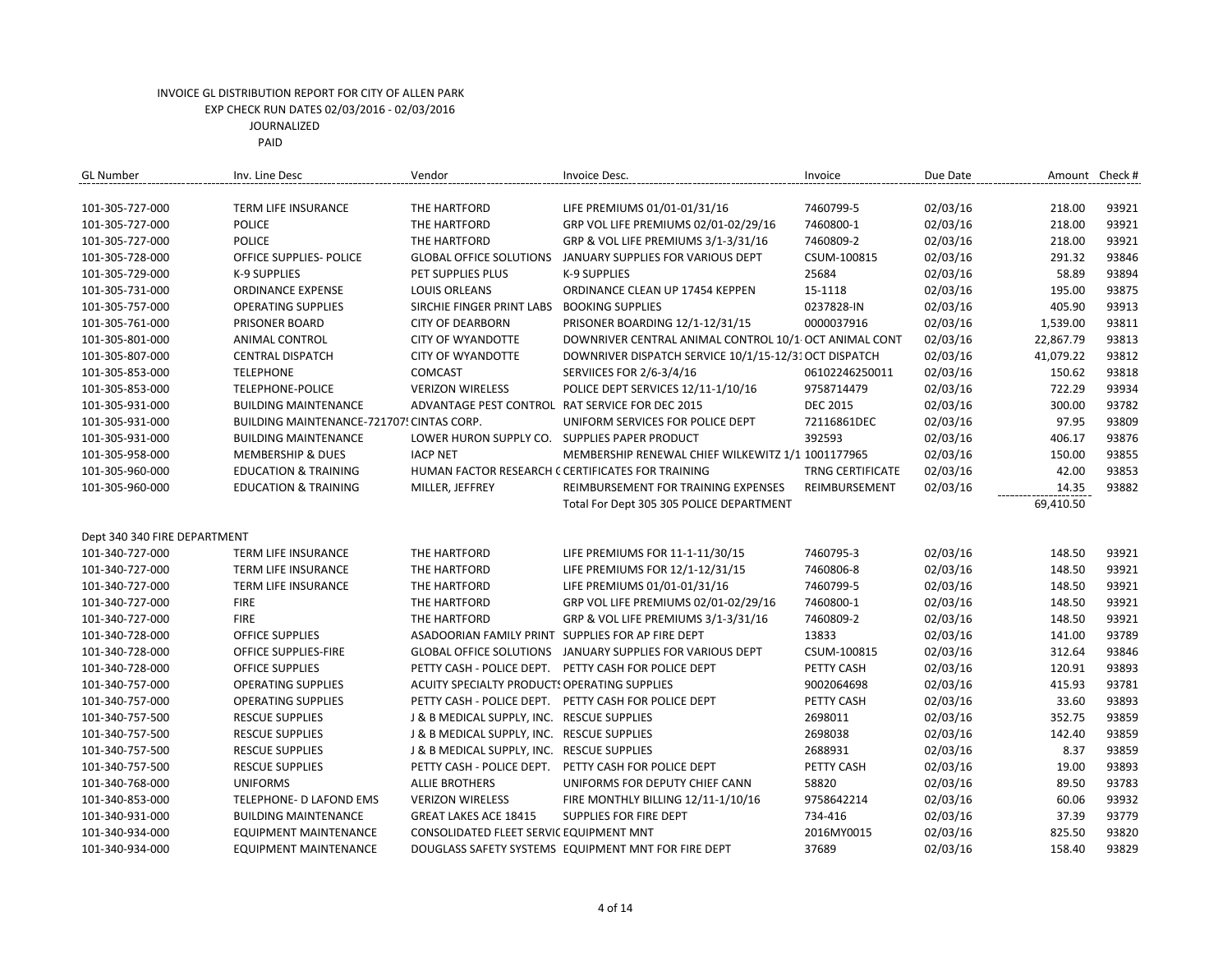| <b>GL Number</b>             | Inv. Line Desc                            | Vendor                                            | Invoice Desc.                                         | Invoice                 | Due Date |           | Amount Check # |
|------------------------------|-------------------------------------------|---------------------------------------------------|-------------------------------------------------------|-------------------------|----------|-----------|----------------|
|                              |                                           |                                                   |                                                       |                         |          |           |                |
| 101-305-727-000              | TERM LIFE INSURANCE                       | THE HARTFORD                                      | LIFE PREMIUMS 01/01-01/31/16                          | 7460799-5               | 02/03/16 | 218.00    | 93921          |
| 101-305-727-000              | <b>POLICE</b>                             | THE HARTFORD                                      | GRP VOL LIFE PREMIUMS 02/01-02/29/16                  | 7460800-1               | 02/03/16 | 218.00    | 93921          |
| 101-305-727-000              | <b>POLICE</b>                             | THE HARTFORD                                      | GRP & VOL LIFE PREMIUMS 3/1-3/31/16                   | 7460809-2               | 02/03/16 | 218.00    | 93921          |
| 101-305-728-000              | OFFICE SUPPLIES- POLICE                   | <b>GLOBAL OFFICE SOLUTIONS</b>                    | JANUARY SUPPLIES FOR VARIOUS DEPT                     | CSUM-100815             | 02/03/16 | 291.32    | 93846          |
| 101-305-729-000              | <b>K-9 SUPPLIES</b>                       | PET SUPPLIES PLUS                                 | <b>K-9 SUPPLIES</b>                                   | 25684                   | 02/03/16 | 58.89     | 93894          |
| 101-305-731-000              | <b>ORDINANCE EXPENSE</b>                  | <b>LOUIS ORLEANS</b>                              | ORDINANCE CLEAN UP 17454 KEPPEN                       | 15-1118                 | 02/03/16 | 195.00    | 93875          |
| 101-305-757-000              | <b>OPERATING SUPPLIES</b>                 | SIRCHIE FINGER PRINT LABS                         | <b>BOOKING SUPPLIES</b>                               | 0237828-IN              | 02/03/16 | 405.90    | 93913          |
| 101-305-761-000              | PRISONER BOARD                            | <b>CITY OF DEARBORN</b>                           | PRISONER BOARDING 12/1-12/31/15                       | 0000037916              | 02/03/16 | 1,539.00  | 93811          |
| 101-305-801-000              | ANIMAL CONTROL                            | <b>CITY OF WYANDOTTE</b>                          | DOWNRIVER CENTRAL ANIMAL CONTROL 10/1 OCT ANIMAL CONT |                         | 02/03/16 | 22,867.79 | 93813          |
| 101-305-807-000              | <b>CENTRAL DISPATCH</b>                   | <b>CITY OF WYANDOTTE</b>                          | DOWNRIVER DISPATCH SERVICE 10/1/15-12/31 OCT DISPATCH |                         | 02/03/16 | 41,079.22 | 93812          |
| 101-305-853-000              | <b>TELEPHONE</b>                          | <b>COMCAST</b>                                    | <b>SERVIICES FOR 2/6-3/4/16</b>                       | 06102246250011          | 02/03/16 | 150.62    | 93818          |
| 101-305-853-000              | <b>TELEPHONE-POLICE</b>                   | <b>VERIZON WIRELESS</b>                           | POLICE DEPT SERVICES 12/11-1/10/16                    | 9758714479              | 02/03/16 | 722.29    | 93934          |
| 101-305-931-000              | <b>BUILDING MAINTENANCE</b>               | ADVANTAGE PEST CONTROL RAT SERVICE FOR DEC 2015   |                                                       | <b>DEC 2015</b>         | 02/03/16 | 300.00    | 93782          |
| 101-305-931-000              | BUILDING MAINTENANCE-721707! CINTAS CORP. |                                                   | UNIFORM SERVICES FOR POLICE DEPT                      | 72116861DEC             | 02/03/16 | 97.95     | 93809          |
| 101-305-931-000              | <b>BUILDING MAINTENANCE</b>               | LOWER HURON SUPPLY CO. SUPPLIES PAPER PRODUCT     |                                                       | 392593                  | 02/03/16 | 406.17    | 93876          |
| 101-305-958-000              | <b>MEMBERSHIP &amp; DUES</b>              | <b>IACP NET</b>                                   | MEMBERSHIP RENEWAL CHIEF WILKEWITZ 1/1 1001177965     |                         | 02/03/16 | 150.00    | 93855          |
| 101-305-960-000              | <b>EDUCATION &amp; TRAINING</b>           |                                                   | HUMAN FACTOR RESEARCH C CERTIFICATES FOR TRAINING     | <b>TRNG CERTIFICATE</b> | 02/03/16 | 42.00     | 93853          |
| 101-305-960-000              | <b>EDUCATION &amp; TRAINING</b>           | MILLER, JEFFREY                                   | REIMBURSEMENT FOR TRAINING EXPENSES                   | REIMBURSEMENT           | 02/03/16 | 14.35     | 93882          |
|                              |                                           |                                                   | Total For Dept 305 305 POLICE DEPARTMENT              |                         |          | 69,410.50 |                |
|                              |                                           |                                                   |                                                       |                         |          |           |                |
| Dept 340 340 FIRE DEPARTMENT |                                           |                                                   |                                                       |                         |          |           |                |
| 101-340-727-000              | TERM LIFE INSURANCE                       | THE HARTFORD                                      | LIFE PREMIUMS FOR 11-1-11/30/15                       | 7460795-3               | 02/03/16 | 148.50    | 93921          |
| 101-340-727-000              | TERM LIFE INSURANCE                       | THE HARTFORD                                      | LIFE PREMIUMS FOR 12/1-12/31/15                       | 7460806-8               | 02/03/16 | 148.50    | 93921          |
| 101-340-727-000              | <b>TERM LIFE INSURANCE</b>                | THE HARTFORD                                      | LIFE PREMIUMS 01/01-01/31/16                          | 7460799-5               | 02/03/16 | 148.50    | 93921          |
| 101-340-727-000              | <b>FIRE</b>                               | THE HARTFORD                                      | GRP VOL LIFE PREMIUMS 02/01-02/29/16                  | 7460800-1               | 02/03/16 | 148.50    | 93921          |
| 101-340-727-000              | <b>FIRE</b>                               | THE HARTFORD                                      | GRP & VOL LIFE PREMIUMS 3/1-3/31/16                   | 7460809-2               | 02/03/16 | 148.50    | 93921          |
| 101-340-728-000              | <b>OFFICE SUPPLIES</b>                    | ASADOORIAN FAMILY PRINT SUPPLIES FOR AP FIRE DEPT |                                                       | 13833                   | 02/03/16 | 141.00    | 93789          |
| 101-340-728-000              | OFFICE SUPPLIES-FIRE                      | <b>GLOBAL OFFICE SOLUTIONS</b>                    | JANUARY SUPPLIES FOR VARIOUS DEPT                     | CSUM-100815             | 02/03/16 | 312.64    | 93846          |
| 101-340-728-000              | <b>OFFICE SUPPLIES</b>                    |                                                   | PETTY CASH - POLICE DEPT. PETTY CASH FOR POLICE DEPT  | PETTY CASH              | 02/03/16 | 120.91    | 93893          |
| 101-340-757-000              | <b>OPERATING SUPPLIES</b>                 | ACUITY SPECIALTY PRODUCT: OPERATING SUPPLIES      |                                                       | 9002064698              | 02/03/16 | 415.93    | 93781          |
| 101-340-757-000              | <b>OPERATING SUPPLIES</b>                 |                                                   | PETTY CASH - POLICE DEPT. PETTY CASH FOR POLICE DEPT  | PETTY CASH              | 02/03/16 | 33.60     | 93893          |
| 101-340-757-500              | <b>RESCUE SUPPLIES</b>                    | J & B MEDICAL SUPPLY, INC. RESCUE SUPPLIES        |                                                       | 2698011                 | 02/03/16 | 352.75    | 93859          |
| 101-340-757-500              | <b>RESCUE SUPPLIES</b>                    | J & B MEDICAL SUPPLY, INC. RESCUE SUPPLIES        |                                                       | 2698038                 | 02/03/16 | 142.40    | 93859          |
| 101-340-757-500              | <b>RESCUE SUPPLIES</b>                    | J & B MEDICAL SUPPLY, INC. RESCUE SUPPLIES        |                                                       | 2688931                 | 02/03/16 | 8.37      | 93859          |
| 101-340-757-500              | <b>RESCUE SUPPLIES</b>                    | PETTY CASH - POLICE DEPT.                         | PETTY CASH FOR POLICE DEPT                            | PETTY CASH              | 02/03/16 | 19.00     | 93893          |
| 101-340-768-000              | <b>UNIFORMS</b>                           | <b>ALLIE BROTHERS</b>                             | UNIFORMS FOR DEPUTY CHIEF CANN                        | 58820                   | 02/03/16 | 89.50     | 93783          |
| 101-340-853-000              | TELEPHONE- D LAFOND EMS                   | <b>VERIZON WIRELESS</b>                           | FIRE MONTHLY BILLING 12/11-1/10/16                    | 9758642214              | 02/03/16 | 60.06     | 93932          |
| 101-340-931-000              | <b>BUILDING MAINTENANCE</b>               | <b>GREAT LAKES ACE 18415</b>                      | SUPPLIES FOR FIRE DEPT                                | 734-416                 | 02/03/16 | 37.39     | 93779          |
| 101-340-934-000              | <b>EQUIPMENT MAINTENANCE</b>              | CONSOLIDATED FLEET SERVIC EQUIPMENT MNT           |                                                       | 2016MY0015              | 02/03/16 | 825.50    | 93820          |
| 101-340-934-000              | <b>EQUIPMENT MAINTENANCE</b>              |                                                   | DOUGLASS SAFETY SYSTEMS EQUIPMENT MNT FOR FIRE DEPT   | 37689                   | 02/03/16 | 158.40    | 93829          |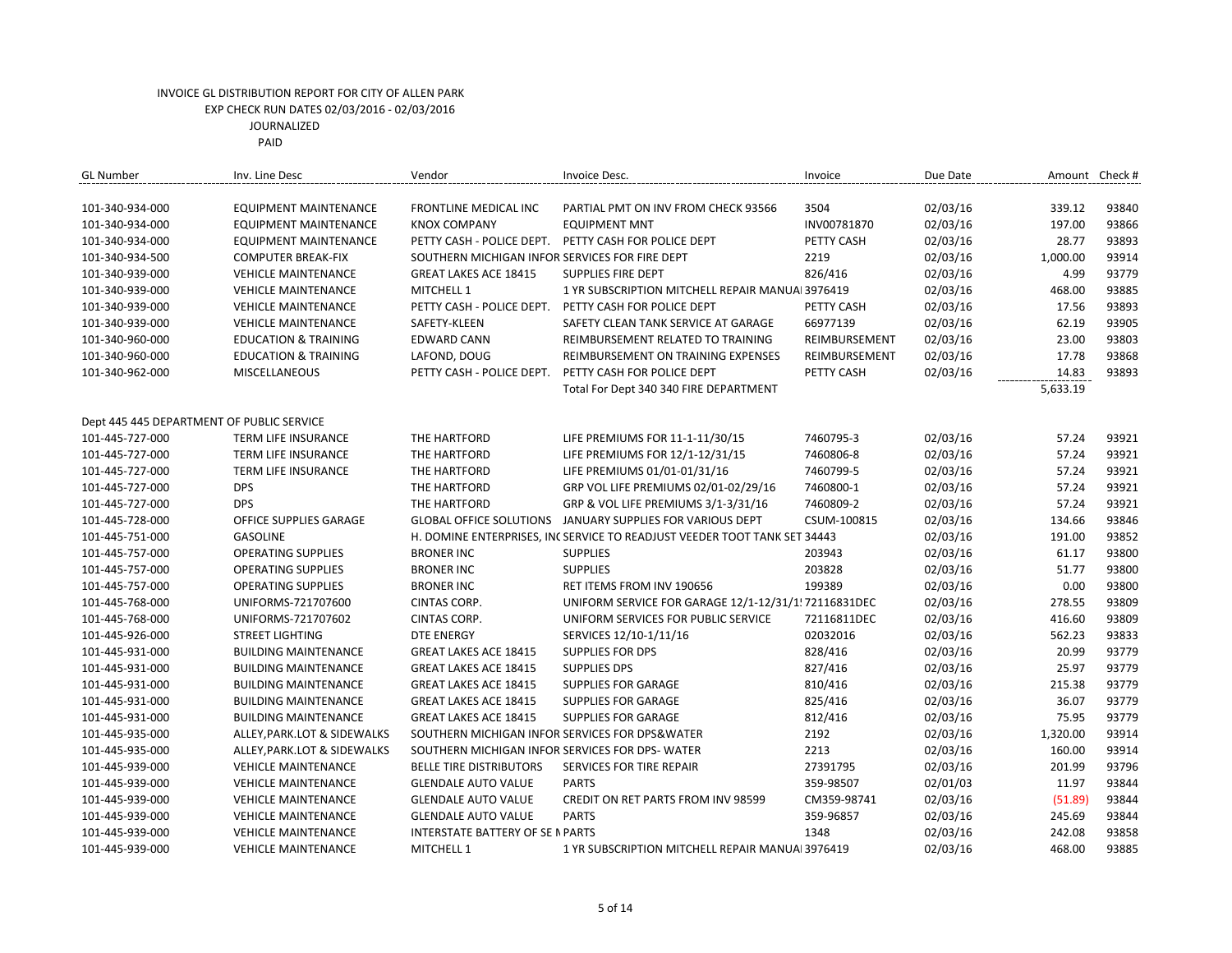| <b>GL Number</b>                          | Inv. Line Desc                  | Vendor                                         | Invoice Desc.                                                            | Invoice       | Due Date |          | Amount Check # |
|-------------------------------------------|---------------------------------|------------------------------------------------|--------------------------------------------------------------------------|---------------|----------|----------|----------------|
|                                           |                                 |                                                |                                                                          |               |          |          |                |
| 101-340-934-000                           | <b>EQUIPMENT MAINTENANCE</b>    | <b>FRONTLINE MEDICAL INC</b>                   | PARTIAL PMT ON INV FROM CHECK 93566                                      | 3504          | 02/03/16 | 339.12   | 93840          |
| 101-340-934-000                           | <b>EQUIPMENT MAINTENANCE</b>    | <b>KNOX COMPANY</b>                            | <b>EQUIPMENT MNT</b>                                                     | INV00781870   | 02/03/16 | 197.00   | 93866          |
| 101-340-934-000                           | <b>EQUIPMENT MAINTENANCE</b>    |                                                | PETTY CASH - POLICE DEPT. PETTY CASH FOR POLICE DEPT                     | PETTY CASH    | 02/03/16 | 28.77    | 93893          |
| 101-340-934-500                           | <b>COMPUTER BREAK-FIX</b>       | SOUTHERN MICHIGAN INFOR SERVICES FOR FIRE DEPT |                                                                          | 2219          | 02/03/16 | 1,000.00 | 93914          |
| 101-340-939-000                           | <b>VEHICLE MAINTENANCE</b>      | <b>GREAT LAKES ACE 18415</b>                   | <b>SUPPLIES FIRE DEPT</b>                                                | 826/416       | 02/03/16 | 4.99     | 93779          |
| 101-340-939-000                           | <b>VEHICLE MAINTENANCE</b>      | MITCHELL 1                                     | 1 YR SUBSCRIPTION MITCHELL REPAIR MANUAL 3976419                         |               | 02/03/16 | 468.00   | 93885          |
| 101-340-939-000                           | <b>VEHICLE MAINTENANCE</b>      | PETTY CASH - POLICE DEPT.                      | PETTY CASH FOR POLICE DEPT                                               | PETTY CASH    | 02/03/16 | 17.56    | 93893          |
| 101-340-939-000                           | <b>VEHICLE MAINTENANCE</b>      | SAFETY-KLEEN                                   | SAFETY CLEAN TANK SERVICE AT GARAGE                                      | 66977139      | 02/03/16 | 62.19    | 93905          |
| 101-340-960-000                           | <b>EDUCATION &amp; TRAINING</b> | <b>EDWARD CANN</b>                             | REIMBURSEMENT RELATED TO TRAINING                                        | REIMBURSEMENT | 02/03/16 | 23.00    | 93803          |
| 101-340-960-000                           | <b>EDUCATION &amp; TRAINING</b> | LAFOND, DOUG                                   | REIMBURSEMENT ON TRAINING EXPENSES                                       | REIMBURSEMENT | 02/03/16 | 17.78    | 93868          |
| 101-340-962-000                           | <b>MISCELLANEOUS</b>            | PETTY CASH - POLICE DEPT.                      | PETTY CASH FOR POLICE DEPT                                               | PETTY CASH    | 02/03/16 | 14.83    | 93893          |
|                                           |                                 |                                                | Total For Dept 340 340 FIRE DEPARTMENT                                   |               |          | 5,633.19 |                |
|                                           |                                 |                                                |                                                                          |               |          |          |                |
| Dept 445 445 DEPARTMENT OF PUBLIC SERVICE |                                 |                                                |                                                                          |               |          |          |                |
| 101-445-727-000                           | TERM LIFE INSURANCE             | THE HARTFORD                                   | LIFE PREMIUMS FOR 11-1-11/30/15                                          | 7460795-3     | 02/03/16 | 57.24    | 93921          |
| 101-445-727-000                           | TERM LIFE INSURANCE             | THE HARTFORD                                   | LIFE PREMIUMS FOR 12/1-12/31/15                                          | 7460806-8     | 02/03/16 | 57.24    | 93921          |
| 101-445-727-000                           | TERM LIFE INSURANCE             | THE HARTFORD                                   | LIFE PREMIUMS 01/01-01/31/16                                             | 7460799-5     | 02/03/16 | 57.24    | 93921          |
| 101-445-727-000                           | <b>DPS</b>                      | THE HARTFORD                                   | GRP VOL LIFE PREMIUMS 02/01-02/29/16                                     | 7460800-1     | 02/03/16 | 57.24    | 93921          |
| 101-445-727-000                           | <b>DPS</b>                      | THE HARTFORD                                   | GRP & VOL LIFE PREMIUMS 3/1-3/31/16                                      | 7460809-2     | 02/03/16 | 57.24    | 93921          |
| 101-445-728-000                           | OFFICE SUPPLIES GARAGE          | <b>GLOBAL OFFICE SOLUTIONS</b>                 | JANUARY SUPPLIES FOR VARIOUS DEPT                                        | CSUM-100815   | 02/03/16 | 134.66   | 93846          |
| 101-445-751-000                           | <b>GASOLINE</b>                 |                                                | H. DOMINE ENTERPRISES, INCSERVICE TO READJUST VEEDER TOOT TANK SET 34443 |               | 02/03/16 | 191.00   | 93852          |
| 101-445-757-000                           | <b>OPERATING SUPPLIES</b>       | <b>BRONER INC</b>                              | <b>SUPPLIES</b>                                                          | 203943        | 02/03/16 | 61.17    | 93800          |
| 101-445-757-000                           | <b>OPERATING SUPPLIES</b>       | <b>BRONER INC</b>                              | <b>SUPPLIES</b>                                                          | 203828        | 02/03/16 | 51.77    | 93800          |
| 101-445-757-000                           | <b>OPERATING SUPPLIES</b>       | <b>BRONER INC</b>                              | RET ITEMS FROM INV 190656                                                | 199389        | 02/03/16 | 0.00     | 93800          |
| 101-445-768-000                           | UNIFORMS-721707600              | CINTAS CORP.                                   | UNIFORM SERVICE FOR GARAGE 12/1-12/31/1! 72116831DEC                     |               | 02/03/16 | 278.55   | 93809          |
| 101-445-768-000                           | UNIFORMS-721707602              | CINTAS CORP.                                   | UNIFORM SERVICES FOR PUBLIC SERVICE                                      | 72116811DEC   | 02/03/16 | 416.60   | 93809          |
| 101-445-926-000                           | <b>STREET LIGHTING</b>          | <b>DTE ENERGY</b>                              | SERVICES 12/10-1/11/16                                                   | 02032016      | 02/03/16 | 562.23   | 93833          |
| 101-445-931-000                           | <b>BUILDING MAINTENANCE</b>     | <b>GREAT LAKES ACE 18415</b>                   | <b>SUPPLIES FOR DPS</b>                                                  | 828/416       | 02/03/16 | 20.99    | 93779          |
| 101-445-931-000                           | <b>BUILDING MAINTENANCE</b>     | <b>GREAT LAKES ACE 18415</b>                   | <b>SUPPLIES DPS</b>                                                      | 827/416       | 02/03/16 | 25.97    | 93779          |
| 101-445-931-000                           | <b>BUILDING MAINTENANCE</b>     | <b>GREAT LAKES ACE 18415</b>                   | <b>SUPPLIES FOR GARAGE</b>                                               | 810/416       | 02/03/16 | 215.38   | 93779          |
| 101-445-931-000                           | <b>BUILDING MAINTENANCE</b>     | <b>GREAT LAKES ACE 18415</b>                   | SUPPLIES FOR GARAGE                                                      | 825/416       | 02/03/16 | 36.07    | 93779          |
| 101-445-931-000                           | <b>BUILDING MAINTENANCE</b>     | <b>GREAT LAKES ACE 18415</b>                   | <b>SUPPLIES FOR GARAGE</b>                                               | 812/416       | 02/03/16 | 75.95    | 93779          |
| 101-445-935-000                           | ALLEY, PARK.LOT & SIDEWALKS     | SOUTHERN MICHIGAN INFOR SERVICES FOR DPS&WATER |                                                                          | 2192          | 02/03/16 | 1,320.00 | 93914          |
| 101-445-935-000                           | ALLEY, PARK.LOT & SIDEWALKS     | SOUTHERN MICHIGAN INFOR SERVICES FOR DPS-WATER |                                                                          | 2213          | 02/03/16 | 160.00   | 93914          |
| 101-445-939-000                           | <b>VEHICLE MAINTENANCE</b>      | <b>BELLE TIRE DISTRIBUTORS</b>                 | SERVICES FOR TIRE REPAIR                                                 | 27391795      | 02/03/16 | 201.99   | 93796          |
| 101-445-939-000                           | <b>VEHICLE MAINTENANCE</b>      | <b>GLENDALE AUTO VALUE</b>                     | <b>PARTS</b>                                                             | 359-98507     | 02/01/03 | 11.97    | 93844          |
| 101-445-939-000                           | <b>VEHICLE MAINTENANCE</b>      | <b>GLENDALE AUTO VALUE</b>                     | CREDIT ON RET PARTS FROM INV 98599                                       | CM359-98741   | 02/03/16 | (51.89)  | 93844          |
| 101-445-939-000                           | <b>VEHICLE MAINTENANCE</b>      | <b>GLENDALE AUTO VALUE</b>                     | <b>PARTS</b>                                                             | 359-96857     | 02/03/16 | 245.69   | 93844          |
| 101-445-939-000                           | <b>VEHICLE MAINTENANCE</b>      | <b>INTERSTATE BATTERY OF SE N PARTS</b>        |                                                                          | 1348          | 02/03/16 | 242.08   | 93858          |
| 101-445-939-000                           | <b>VEHICLE MAINTENANCE</b>      | MITCHELL 1                                     | 1 YR SUBSCRIPTION MITCHELL REPAIR MANUAL 3976419                         |               | 02/03/16 | 468.00   | 93885          |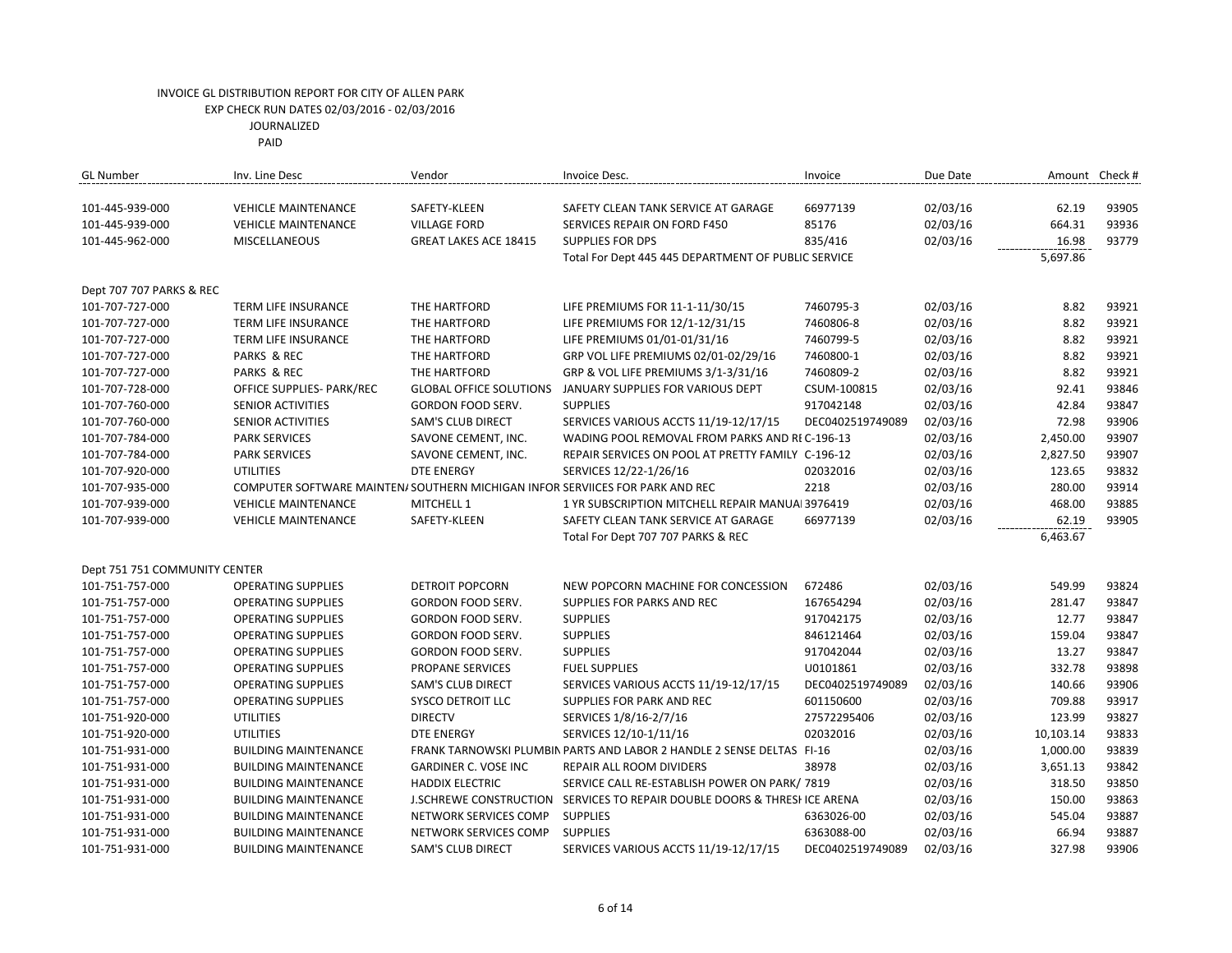| <b>GL Number</b>              | Inv. Line Desc              | Vendor                                                                       | Invoice Desc.                                                             | Invoice          | Due Date |           | Amount Check # |
|-------------------------------|-----------------------------|------------------------------------------------------------------------------|---------------------------------------------------------------------------|------------------|----------|-----------|----------------|
| 101-445-939-000               | <b>VEHICLE MAINTENANCE</b>  | SAFETY-KLEEN                                                                 | SAFETY CLEAN TANK SERVICE AT GARAGE                                       | 66977139         | 02/03/16 | 62.19     | 93905          |
| 101-445-939-000               | <b>VEHICLE MAINTENANCE</b>  | <b>VILLAGE FORD</b>                                                          | SERVICES REPAIR ON FORD F450                                              | 85176            | 02/03/16 | 664.31    | 93936          |
| 101-445-962-000               | <b>MISCELLANEOUS</b>        | <b>GREAT LAKES ACE 18415</b>                                                 | <b>SUPPLIES FOR DPS</b>                                                   | 835/416          | 02/03/16 | 16.98     | 93779          |
|                               |                             |                                                                              | Total For Dept 445 445 DEPARTMENT OF PUBLIC SERVICE                       |                  |          | 5,697.86  |                |
|                               |                             |                                                                              |                                                                           |                  |          |           |                |
| Dept 707 707 PARKS & REC      |                             |                                                                              |                                                                           |                  |          |           |                |
| 101-707-727-000               | TERM LIFE INSURANCE         | THE HARTFORD                                                                 | LIFE PREMIUMS FOR 11-1-11/30/15                                           | 7460795-3        | 02/03/16 | 8.82      | 93921          |
| 101-707-727-000               | TERM LIFE INSURANCE         | THE HARTFORD                                                                 | LIFE PREMIUMS FOR 12/1-12/31/15                                           | 7460806-8        | 02/03/16 | 8.82      | 93921          |
| 101-707-727-000               | TERM LIFE INSURANCE         | THE HARTFORD                                                                 | LIFE PREMIUMS 01/01-01/31/16                                              | 7460799-5        | 02/03/16 | 8.82      | 93921          |
| 101-707-727-000               | PARKS & REC                 | THE HARTFORD                                                                 | GRP VOL LIFE PREMIUMS 02/01-02/29/16                                      | 7460800-1        | 02/03/16 | 8.82      | 93921          |
| 101-707-727-000               | PARKS & REC                 | THE HARTFORD                                                                 | GRP & VOL LIFE PREMIUMS 3/1-3/31/16                                       | 7460809-2        | 02/03/16 | 8.82      | 93921          |
| 101-707-728-000               | OFFICE SUPPLIES- PARK/REC   | <b>GLOBAL OFFICE SOLUTIONS</b>                                               | JANUARY SUPPLIES FOR VARIOUS DEPT                                         | CSUM-100815      | 02/03/16 | 92.41     | 93846          |
| 101-707-760-000               | <b>SENIOR ACTIVITIES</b>    | <b>GORDON FOOD SERV.</b>                                                     | <b>SUPPLIES</b>                                                           | 917042148        | 02/03/16 | 42.84     | 93847          |
| 101-707-760-000               | SENIOR ACTIVITIES           | <b>SAM'S CLUB DIRECT</b>                                                     | SERVICES VARIOUS ACCTS 11/19-12/17/15                                     | DEC0402519749089 | 02/03/16 | 72.98     | 93906          |
| 101-707-784-000               | <b>PARK SERVICES</b>        | SAVONE CEMENT, INC.                                                          | WADING POOL REMOVAL FROM PARKS AND REC-196-13                             |                  | 02/03/16 | 2,450.00  | 93907          |
| 101-707-784-000               | <b>PARK SERVICES</b>        | SAVONE CEMENT, INC.                                                          | REPAIR SERVICES ON POOL AT PRETTY FAMILY C-196-12                         |                  | 02/03/16 | 2,827.50  | 93907          |
| 101-707-920-000               | <b>UTILITIES</b>            | <b>DTE ENERGY</b>                                                            | SERVICES 12/22-1/26/16                                                    | 02032016         | 02/03/16 | 123.65    | 93832          |
| 101-707-935-000               |                             | COMPUTER SOFTWARE MAINTEN/SOUTHERN MICHIGAN INFOR SERVIICES FOR PARK AND REC |                                                                           | 2218             | 02/03/16 | 280.00    | 93914          |
| 101-707-939-000               | <b>VEHICLE MAINTENANCE</b>  | MITCHELL 1                                                                   | 1 YR SUBSCRIPTION MITCHELL REPAIR MANUAL 3976419                          |                  | 02/03/16 | 468.00    | 93885          |
| 101-707-939-000               | <b>VEHICLE MAINTENANCE</b>  | SAFETY-KLEEN                                                                 | SAFETY CLEAN TANK SERVICE AT GARAGE                                       | 66977139         | 02/03/16 | 62.19     | 93905          |
|                               |                             |                                                                              | Total For Dept 707 707 PARKS & REC                                        |                  |          | 6,463.67  |                |
|                               |                             |                                                                              |                                                                           |                  |          |           |                |
| Dept 751 751 COMMUNITY CENTER |                             |                                                                              |                                                                           |                  |          |           |                |
| 101-751-757-000               | <b>OPERATING SUPPLIES</b>   | DETROIT POPCORN                                                              | NEW POPCORN MACHINE FOR CONCESSION                                        | 672486           | 02/03/16 | 549.99    | 93824          |
| 101-751-757-000               | <b>OPERATING SUPPLIES</b>   | GORDON FOOD SERV.                                                            | <b>SUPPLIES FOR PARKS AND REC</b>                                         | 167654294        | 02/03/16 | 281.47    | 93847          |
| 101-751-757-000               | <b>OPERATING SUPPLIES</b>   | <b>GORDON FOOD SERV.</b>                                                     | <b>SUPPLIES</b>                                                           | 917042175        | 02/03/16 | 12.77     | 93847          |
| 101-751-757-000               | <b>OPERATING SUPPLIES</b>   | GORDON FOOD SERV.                                                            | <b>SUPPLIES</b>                                                           | 846121464        | 02/03/16 | 159.04    | 93847          |
| 101-751-757-000               | <b>OPERATING SUPPLIES</b>   | GORDON FOOD SERV.                                                            | <b>SUPPLIES</b>                                                           | 917042044        | 02/03/16 | 13.27     | 93847          |
| 101-751-757-000               | <b>OPERATING SUPPLIES</b>   | PROPANE SERVICES                                                             | <b>FUEL SUPPLIES</b>                                                      | U0101861         | 02/03/16 | 332.78    | 93898          |
| 101-751-757-000               | <b>OPERATING SUPPLIES</b>   | <b>SAM'S CLUB DIRECT</b>                                                     | SERVICES VARIOUS ACCTS 11/19-12/17/15                                     | DEC0402519749089 | 02/03/16 | 140.66    | 93906          |
| 101-751-757-000               | <b>OPERATING SUPPLIES</b>   | <b>SYSCO DETROIT LLC</b>                                                     | <b>SUPPLIES FOR PARK AND REC</b>                                          | 601150600        | 02/03/16 | 709.88    | 93917          |
| 101-751-920-000               | <b>UTILITIES</b>            | <b>DIRECTV</b>                                                               | SERVICES 1/8/16-2/7/16                                                    | 27572295406      | 02/03/16 | 123.99    | 93827          |
| 101-751-920-000               | <b>UTILITIES</b>            | <b>DTE ENERGY</b>                                                            | SERVICES 12/10-1/11/16                                                    | 02032016         | 02/03/16 | 10,103.14 | 93833          |
| 101-751-931-000               | <b>BUILDING MAINTENANCE</b> |                                                                              | FRANK TARNOWSKI PLUMBIN PARTS AND LABOR 2 HANDLE 2 SENSE DELTAS FI-16     |                  | 02/03/16 | 1,000.00  | 93839          |
| 101-751-931-000               | <b>BUILDING MAINTENANCE</b> | GARDINER C. VOSE INC                                                         | REPAIR ALL ROOM DIVIDERS                                                  | 38978            | 02/03/16 | 3,651.13  | 93842          |
| 101-751-931-000               | <b>BUILDING MAINTENANCE</b> | <b>HADDIX ELECTRIC</b>                                                       | SERVICE CALL RE-ESTABLISH POWER ON PARK/ 7819                             |                  | 02/03/16 | 318.50    | 93850          |
| 101-751-931-000               | <b>BUILDING MAINTENANCE</b> |                                                                              | J.SCHREWE CONSTRUCTION SERVICES TO REPAIR DOUBLE DOORS & THRESI ICE ARENA |                  | 02/03/16 | 150.00    | 93863          |
| 101-751-931-000               | <b>BUILDING MAINTENANCE</b> | NETWORK SERVICES COMP                                                        | <b>SUPPLIES</b>                                                           | 6363026-00       | 02/03/16 | 545.04    | 93887          |
| 101-751-931-000               | <b>BUILDING MAINTENANCE</b> | NETWORK SERVICES COMP                                                        | <b>SUPPLIES</b>                                                           | 6363088-00       | 02/03/16 | 66.94     | 93887          |
| 101-751-931-000               | <b>BUILDING MAINTENANCE</b> | <b>SAM'S CLUB DIRECT</b>                                                     | SERVICES VARIOUS ACCTS 11/19-12/17/15                                     | DEC0402519749089 | 02/03/16 | 327.98    | 93906          |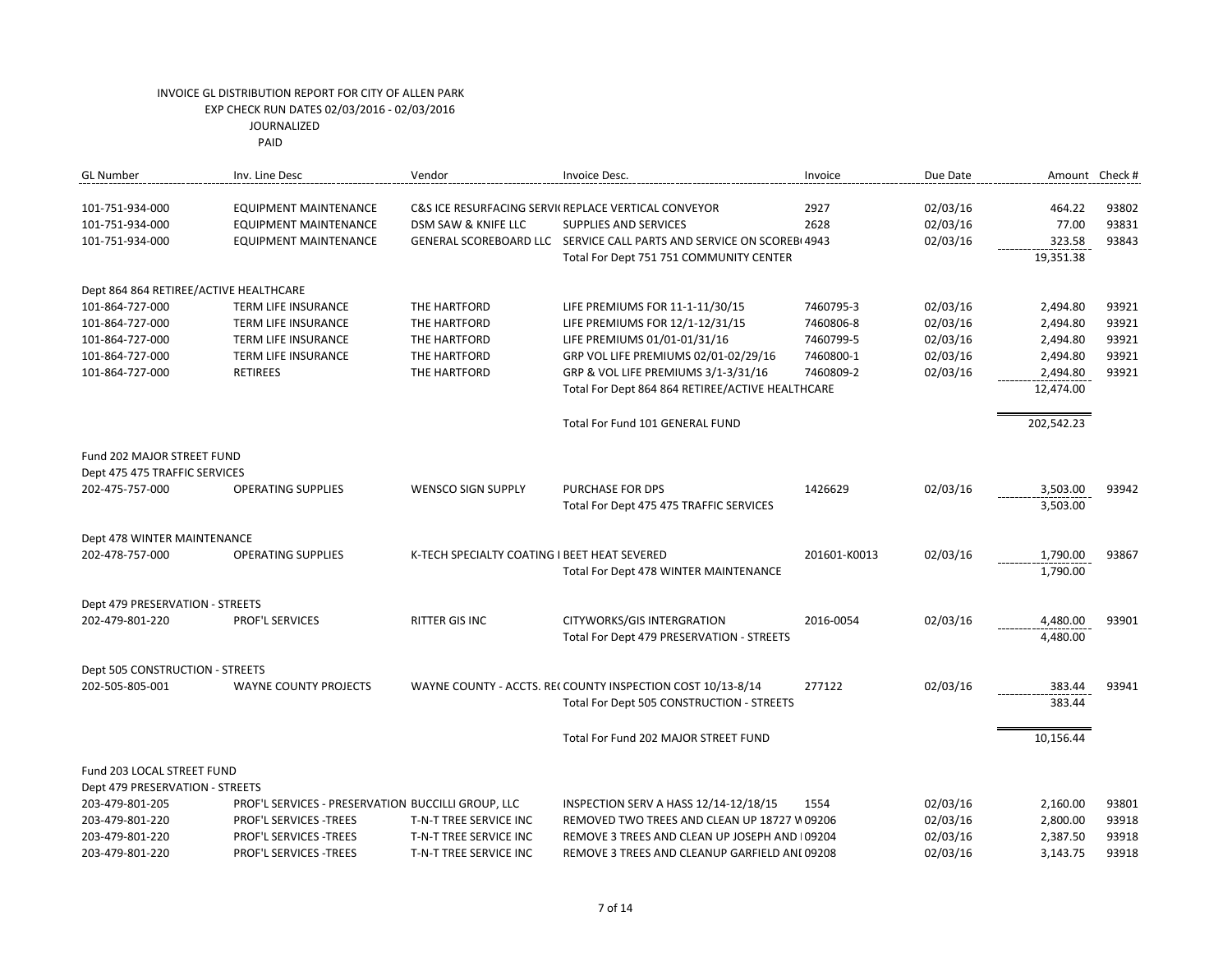PAID

| <b>GL Number</b>                       | Inv. Line Desc                                     | Vendor                                       | Invoice Desc.                                                         | Invoice      | Due Date |            | Amount Check # |
|----------------------------------------|----------------------------------------------------|----------------------------------------------|-----------------------------------------------------------------------|--------------|----------|------------|----------------|
| 101-751-934-000                        | EQUIPMENT MAINTENANCE                              |                                              | C&S ICE RESURFACING SERVII REPLACE VERTICAL CONVEYOR                  | 2927         | 02/03/16 | 464.22     | 93802          |
| 101-751-934-000                        | <b>EQUIPMENT MAINTENANCE</b>                       | DSM SAW & KNIFE LLC                          | <b>SUPPLIES AND SERVICES</b>                                          | 2628         | 02/03/16 | 77.00      | 93831          |
| 101-751-934-000                        | <b>EQUIPMENT MAINTENANCE</b>                       |                                              | GENERAL SCOREBOARD LLC SERVICE CALL PARTS AND SERVICE ON SCOREBI 4943 |              | 02/03/16 | 323.58     | 93843          |
|                                        |                                                    |                                              | Total For Dept 751 751 COMMUNITY CENTER                               |              |          | 19,351.38  |                |
| Dept 864 864 RETIREE/ACTIVE HEALTHCARE |                                                    |                                              |                                                                       |              |          |            |                |
| 101-864-727-000                        | TERM LIFE INSURANCE                                | THE HARTFORD                                 | LIFE PREMIUMS FOR 11-1-11/30/15                                       | 7460795-3    | 02/03/16 | 2,494.80   | 93921          |
| 101-864-727-000                        | <b>TERM LIFE INSURANCE</b>                         | THE HARTFORD                                 | LIFE PREMIUMS FOR 12/1-12/31/15                                       | 7460806-8    | 02/03/16 | 2,494.80   | 93921          |
| 101-864-727-000                        | <b>TERM LIFE INSURANCE</b>                         | THE HARTFORD                                 | LIFE PREMIUMS 01/01-01/31/16                                          | 7460799-5    | 02/03/16 | 2,494.80   | 93921          |
| 101-864-727-000                        | <b>TERM LIFE INSURANCE</b>                         | THE HARTFORD                                 | GRP VOL LIFE PREMIUMS 02/01-02/29/16                                  | 7460800-1    | 02/03/16 | 2,494.80   | 93921          |
| 101-864-727-000                        | <b>RETIREES</b>                                    | THE HARTFORD                                 | GRP & VOL LIFE PREMIUMS 3/1-3/31/16                                   | 7460809-2    | 02/03/16 | 2,494.80   | 93921          |
|                                        |                                                    |                                              | Total For Dept 864 864 RETIREE/ACTIVE HEALTHCARE                      |              |          | 12,474.00  |                |
|                                        |                                                    |                                              | Total For Fund 101 GENERAL FUND                                       |              |          | 202,542.23 |                |
| Fund 202 MAJOR STREET FUND             |                                                    |                                              |                                                                       |              |          |            |                |
| Dept 475 475 TRAFFIC SERVICES          |                                                    |                                              |                                                                       |              |          |            |                |
| 202-475-757-000                        | <b>OPERATING SUPPLIES</b>                          | <b>WENSCO SIGN SUPPLY</b>                    | <b>PURCHASE FOR DPS</b>                                               | 1426629      | 02/03/16 | 3,503.00   | 93942          |
|                                        |                                                    |                                              | Total For Dept 475 475 TRAFFIC SERVICES                               |              |          | 3,503.00   |                |
| Dept 478 WINTER MAINTENANCE            |                                                    |                                              |                                                                       |              |          |            |                |
| 202-478-757-000                        | <b>OPERATING SUPPLIES</b>                          | K-TECH SPECIALTY COATING I BEET HEAT SEVERED |                                                                       | 201601-K0013 | 02/03/16 | 1,790.00   | 93867          |
|                                        |                                                    |                                              | Total For Dept 478 WINTER MAINTENANCE                                 |              |          | 1,790.00   |                |
| Dept 479 PRESERVATION - STREETS        |                                                    |                                              |                                                                       |              |          |            |                |
| 202-479-801-220                        | PROF'L SERVICES                                    | RITTER GIS INC                               | CITYWORKS/GIS INTERGRATION                                            | 2016-0054    | 02/03/16 | 4,480.00   | 93901          |
|                                        |                                                    |                                              | Total For Dept 479 PRESERVATION - STREETS                             |              |          | 4,480.00   |                |
| Dept 505 CONSTRUCTION - STREETS        |                                                    |                                              |                                                                       |              |          |            |                |
| 202-505-805-001                        | <b>WAYNE COUNTY PROJECTS</b>                       |                                              | WAYNE COUNTY - ACCTS. REI COUNTY INSPECTION COST 10/13-8/14           | 277122       | 02/03/16 | 383.44     | 93941          |
|                                        |                                                    |                                              | Total For Dept 505 CONSTRUCTION - STREETS                             |              |          | 383.44     |                |
|                                        |                                                    |                                              | Total For Fund 202 MAJOR STREET FUND                                  |              |          | 10,156.44  |                |
|                                        |                                                    |                                              |                                                                       |              |          |            |                |
| Fund 203 LOCAL STREET FUND             |                                                    |                                              |                                                                       |              |          |            |                |
| Dept 479 PRESERVATION - STREETS        |                                                    |                                              |                                                                       |              |          |            |                |
| 203-479-801-205                        | PROF'L SERVICES - PRESERVATION BUCCILLI GROUP, LLC |                                              | INSPECTION SERV A HASS 12/14-12/18/15                                 | 1554         | 02/03/16 | 2,160.00   | 93801          |
| 203-479-801-220                        | PROF'L SERVICES - TREES                            | T-N-T TREE SERVICE INC                       | REMOVED TWO TREES AND CLEAN UP 18727 V 09206                          |              | 02/03/16 | 2,800.00   | 93918          |
| 203-479-801-220                        | PROF'L SERVICES - TREES                            | T-N-T TREE SERVICE INC                       | REMOVE 3 TREES AND CLEAN UP JOSEPH AND 109204                         |              | 02/03/16 | 2,387.50   | 93918          |
| 203-479-801-220                        | PROF'L SERVICES - TREES                            | T-N-T TREE SERVICE INC                       | REMOVE 3 TREES AND CLEANUP GARFIELD ANI 09208                         |              | 02/03/16 | 3,143.75   | 93918          |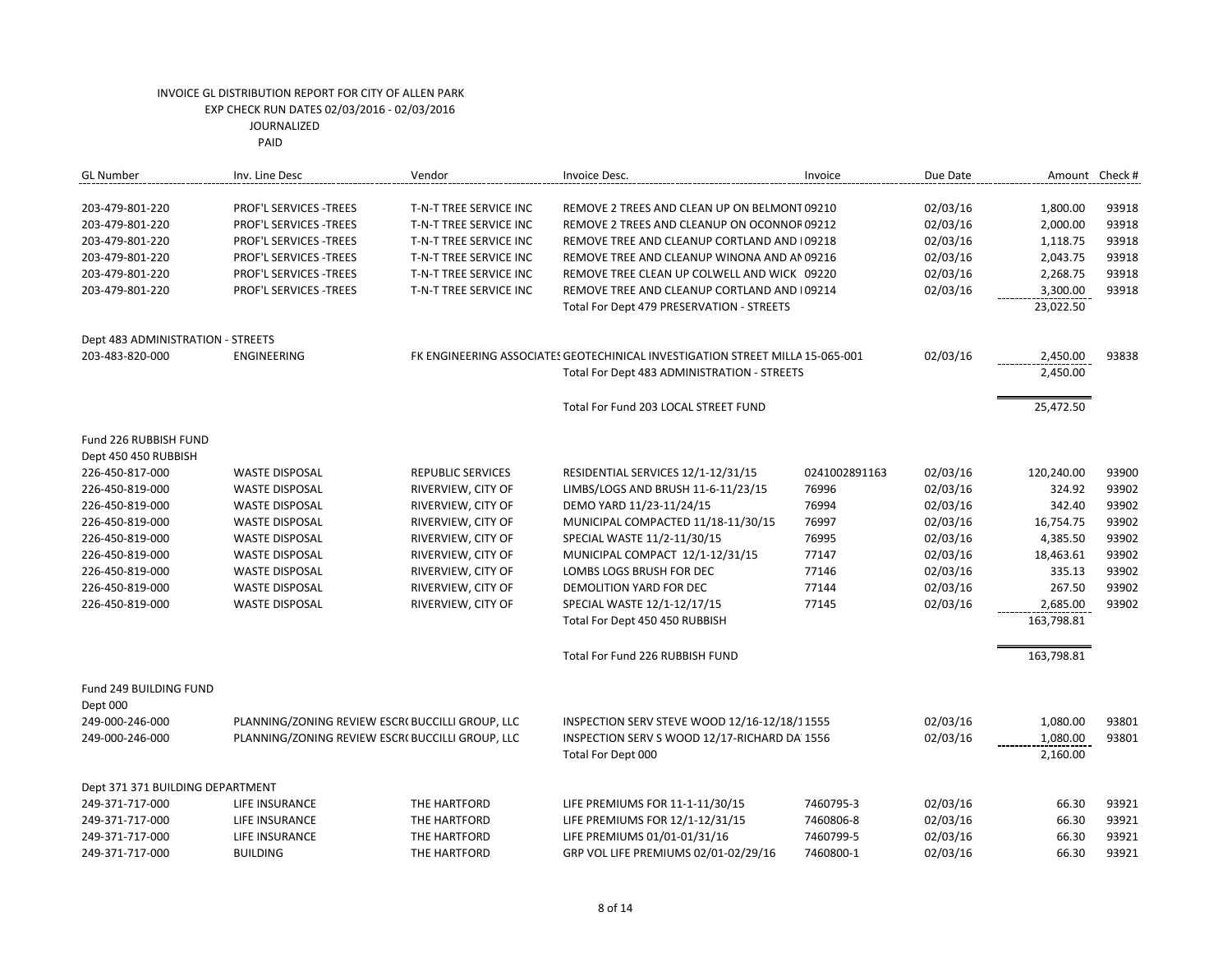| <b>GL Number</b>                  | Inv. Line Desc                                   | Vendor                   | Invoice Desc.                                                                 | Invoice       | Due Date |            | Amount Check # |
|-----------------------------------|--------------------------------------------------|--------------------------|-------------------------------------------------------------------------------|---------------|----------|------------|----------------|
| 203-479-801-220                   | <b>PROF'L SERVICES -TREES</b>                    | T-N-T TREE SERVICE INC   | REMOVE 2 TREES AND CLEAN UP ON BELMONT 09210                                  |               | 02/03/16 | 1,800.00   | 93918          |
| 203-479-801-220                   | PROF'L SERVICES -TREES                           | T-N-T TREE SERVICE INC   | REMOVE 2 TREES AND CLEANUP ON OCONNOF 09212                                   |               | 02/03/16 | 2,000.00   | 93918          |
| 203-479-801-220                   | <b>PROF'L SERVICES -TREES</b>                    | T-N-T TREE SERVICE INC   | REMOVE TREE AND CLEANUP CORTLAND AND 109218                                   |               | 02/03/16 | 1,118.75   | 93918          |
| 203-479-801-220                   | PROF'L SERVICES - TREES                          | T-N-T TREE SERVICE INC   | REMOVE TREE AND CLEANUP WINONA AND AN 09216                                   |               | 02/03/16 | 2,043.75   | 93918          |
| 203-479-801-220                   | PROF'L SERVICES -TREES                           | T-N-T TREE SERVICE INC   | REMOVE TREE CLEAN UP COLWELL AND WICK 09220                                   |               | 02/03/16 | 2,268.75   | 93918          |
| 203-479-801-220                   | PROF'L SERVICES -TREES                           | T-N-T TREE SERVICE INC   | REMOVE TREE AND CLEANUP CORTLAND AND 109214                                   |               | 02/03/16 | 3,300.00   | 93918          |
|                                   |                                                  |                          | Total For Dept 479 PRESERVATION - STREETS                                     |               |          | 23,022.50  |                |
| Dept 483 ADMINISTRATION - STREETS |                                                  |                          |                                                                               |               |          |            |                |
| 203-483-820-000                   | <b>ENGINEERING</b>                               |                          | FK ENGINEERING ASSOCIATES GEOTECHINICAL INVESTIGATION STREET MILLA 15-065-001 |               | 02/03/16 | 2,450.00   | 93838          |
|                                   |                                                  |                          | Total For Dept 483 ADMINISTRATION - STREETS                                   |               |          | 2,450.00   |                |
|                                   |                                                  |                          | Total For Fund 203 LOCAL STREET FUND                                          |               |          | 25,472.50  |                |
| Fund 226 RUBBISH FUND             |                                                  |                          |                                                                               |               |          |            |                |
| Dept 450 450 RUBBISH              |                                                  |                          |                                                                               |               |          |            |                |
| 226-450-817-000                   | <b>WASTE DISPOSAL</b>                            | <b>REPUBLIC SERVICES</b> | RESIDENTIAL SERVICES 12/1-12/31/15                                            | 0241002891163 | 02/03/16 | 120,240.00 | 93900          |
| 226-450-819-000                   | <b>WASTE DISPOSAL</b>                            | RIVERVIEW, CITY OF       | LIMBS/LOGS AND BRUSH 11-6-11/23/15                                            | 76996         | 02/03/16 | 324.92     | 93902          |
| 226-450-819-000                   | <b>WASTE DISPOSAL</b>                            | RIVERVIEW, CITY OF       | DEMO YARD 11/23-11/24/15                                                      | 76994         | 02/03/16 | 342.40     | 93902          |
| 226-450-819-000                   | <b>WASTE DISPOSAL</b>                            | RIVERVIEW, CITY OF       | MUNICIPAL COMPACTED 11/18-11/30/15                                            | 76997         | 02/03/16 | 16,754.75  | 93902          |
| 226-450-819-000                   | <b>WASTE DISPOSAL</b>                            | RIVERVIEW, CITY OF       | SPECIAL WASTE 11/2-11/30/15                                                   | 76995         | 02/03/16 | 4,385.50   | 93902          |
| 226-450-819-000                   | <b>WASTE DISPOSAL</b>                            | RIVERVIEW, CITY OF       | MUNICIPAL COMPACT 12/1-12/31/15                                               | 77147         | 02/03/16 | 18,463.61  | 93902          |
| 226-450-819-000                   | <b>WASTE DISPOSAL</b>                            | RIVERVIEW, CITY OF       | LOMBS LOGS BRUSH FOR DEC                                                      | 77146         | 02/03/16 | 335.13     | 93902          |
| 226-450-819-000                   | <b>WASTE DISPOSAL</b>                            | RIVERVIEW, CITY OF       | DEMOLITION YARD FOR DEC                                                       | 77144         | 02/03/16 | 267.50     | 93902          |
| 226-450-819-000                   | <b>WASTE DISPOSAL</b>                            | RIVERVIEW, CITY OF       | SPECIAL WASTE 12/1-12/17/15                                                   | 77145         | 02/03/16 | 2,685.00   | 93902          |
|                                   |                                                  |                          | Total For Dept 450 450 RUBBISH                                                |               |          | 163,798.81 |                |
|                                   |                                                  |                          | Total For Fund 226 RUBBISH FUND                                               |               |          | 163,798.81 |                |
| Fund 249 BUILDING FUND            |                                                  |                          |                                                                               |               |          |            |                |
| Dept 000                          |                                                  |                          |                                                                               |               |          |            |                |
| 249-000-246-000                   | PLANNING/ZONING REVIEW ESCR( BUCCILLI GROUP, LLC |                          | INSPECTION SERV STEVE WOOD 12/16-12/18/11555                                  |               | 02/03/16 | 1,080.00   | 93801          |
| 249-000-246-000                   | PLANNING/ZONING REVIEW ESCR( BUCCILLI GROUP, LLC |                          | INSPECTION SERV S WOOD 12/17-RICHARD DA 1556                                  |               | 02/03/16 | 1,080.00   | 93801          |
|                                   |                                                  |                          | Total For Dept 000                                                            |               |          | 2,160.00   |                |
| Dept 371 371 BUILDING DEPARTMENT  |                                                  |                          |                                                                               |               |          |            |                |
| 249-371-717-000                   | LIFE INSURANCE                                   | THE HARTFORD             | LIFE PREMIUMS FOR 11-1-11/30/15                                               | 7460795-3     | 02/03/16 | 66.30      | 93921          |
| 249-371-717-000                   | <b>LIFE INSURANCE</b>                            | THE HARTFORD             | LIFE PREMIUMS FOR 12/1-12/31/15                                               | 7460806-8     | 02/03/16 | 66.30      | 93921          |
| 249-371-717-000                   | LIFE INSURANCE                                   | THE HARTFORD             | LIFE PREMIUMS 01/01-01/31/16                                                  | 7460799-5     | 02/03/16 | 66.30      | 93921          |
| 249-371-717-000                   | <b>BUILDING</b>                                  | THE HARTFORD             | GRP VOL LIFE PREMIUMS 02/01-02/29/16                                          | 7460800-1     | 02/03/16 | 66.30      | 93921          |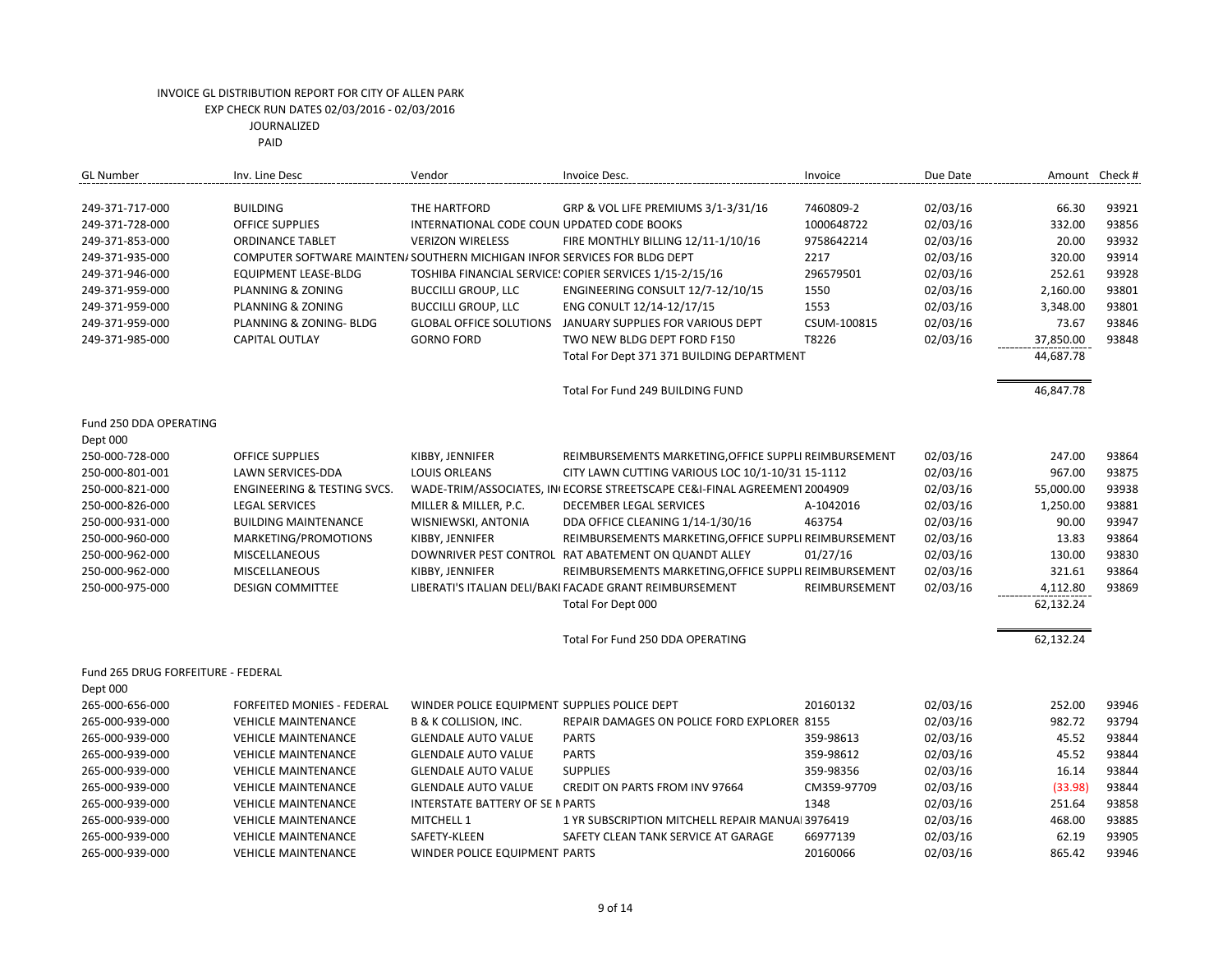| <b>GL Number</b>                   | Inv. Line Desc                                                            | Vendor                                       | Invoice Desc.                                                            | Invoice       | Due Date | Amount    | Check # |
|------------------------------------|---------------------------------------------------------------------------|----------------------------------------------|--------------------------------------------------------------------------|---------------|----------|-----------|---------|
| 249-371-717-000                    | <b>BUILDING</b>                                                           | THE HARTFORD                                 | GRP & VOL LIFE PREMIUMS 3/1-3/31/16                                      | 7460809-2     | 02/03/16 | 66.30     | 93921   |
| 249-371-728-000                    | <b>OFFICE SUPPLIES</b>                                                    | INTERNATIONAL CODE COUN UPDATED CODE BOOKS   |                                                                          | 1000648722    | 02/03/16 | 332.00    | 93856   |
| 249-371-853-000                    | <b>ORDINANCE TABLET</b>                                                   | <b>VERIZON WIRELESS</b>                      | FIRE MONTHLY BILLING 12/11-1/10/16                                       | 9758642214    | 02/03/16 | 20.00     | 93932   |
| 249-371-935-000                    | COMPUTER SOFTWARE MAINTEN/ SOUTHERN MICHIGAN INFOR SERVICES FOR BLDG DEPT |                                              |                                                                          | 2217          | 02/03/16 | 320.00    | 93914   |
| 249-371-946-000                    | EQUIPMENT LEASE-BLDG                                                      |                                              | TOSHIBA FINANCIAL SERVICE: COPIER SERVICES 1/15-2/15/16                  | 296579501     | 02/03/16 | 252.61    | 93928   |
| 249-371-959-000                    | PLANNING & ZONING                                                         | <b>BUCCILLI GROUP, LLC</b>                   | ENGINEERING CONSULT 12/7-12/10/15                                        | 1550          | 02/03/16 | 2,160.00  | 93801   |
| 249-371-959-000                    | PLANNING & ZONING                                                         | <b>BUCCILLI GROUP, LLC</b>                   | ENG CONULT 12/14-12/17/15                                                | 1553          | 02/03/16 | 3,348.00  | 93801   |
| 249-371-959-000                    | PLANNING & ZONING- BLDG                                                   | <b>GLOBAL OFFICE SOLUTIONS</b>               | JANUARY SUPPLIES FOR VARIOUS DEPT                                        | CSUM-100815   | 02/03/16 | 73.67     | 93846   |
| 249-371-985-000                    | <b>CAPITAL OUTLAY</b>                                                     | <b>GORNO FORD</b>                            | TWO NEW BLDG DEPT FORD F150                                              | T8226         | 02/03/16 | 37,850.00 | 93848   |
|                                    |                                                                           |                                              | Total For Dept 371 371 BUILDING DEPARTMENT                               |               |          | 44,687.78 |         |
|                                    |                                                                           |                                              | Total For Fund 249 BUILDING FUND                                         |               |          | 46,847.78 |         |
| Fund 250 DDA OPERATING             |                                                                           |                                              |                                                                          |               |          |           |         |
| Dept 000                           |                                                                           |                                              |                                                                          |               |          |           |         |
| 250-000-728-000                    | <b>OFFICE SUPPLIES</b>                                                    | KIBBY, JENNIFER                              | REIMBURSEMENTS MARKETING, OFFICE SUPPLI REIMBURSEMENT                    |               | 02/03/16 | 247.00    | 93864   |
| 250-000-801-001                    | LAWN SERVICES-DDA                                                         | <b>LOUIS ORLEANS</b>                         | CITY LAWN CUTTING VARIOUS LOC 10/1-10/31 15-1112                         |               | 02/03/16 | 967.00    | 93875   |
| 250-000-821-000                    | <b>ENGINEERING &amp; TESTING SVCS.</b>                                    |                                              | WADE-TRIM/ASSOCIATES, IN ECORSE STREETSCAPE CE&I-FINAL AGREEMENT 2004909 |               | 02/03/16 | 55,000.00 | 93938   |
| 250-000-826-000                    | <b>LEGAL SERVICES</b>                                                     | MILLER & MILLER, P.C.                        | DECEMBER LEGAL SERVICES                                                  | A-1042016     | 02/03/16 | 1,250.00  | 93881   |
| 250-000-931-000                    | <b>BUILDING MAINTENANCE</b>                                               | WISNIEWSKI, ANTONIA                          | DDA OFFICE CLEANING 1/14-1/30/16                                         | 463754        | 02/03/16 | 90.00     | 93947   |
| 250-000-960-000                    | MARKETING/PROMOTIONS                                                      | KIBBY, JENNIFER                              | REIMBURSEMENTS MARKETING, OFFICE SUPPLI REIMBURSEMENT                    |               | 02/03/16 | 13.83     | 93864   |
| 250-000-962-000                    | MISCELLANEOUS                                                             |                                              | DOWNRIVER PEST CONTROL RAT ABATEMENT ON QUANDT ALLEY                     | 01/27/16      | 02/03/16 | 130.00    | 93830   |
| 250-000-962-000                    | MISCELLANEOUS                                                             | KIBBY, JENNIFER                              | REIMBURSEMENTS MARKETING, OFFICE SUPPLI REIMBURSEMENT                    |               | 02/03/16 | 321.61    | 93864   |
| 250-000-975-000                    | <b>DESIGN COMMITTEE</b>                                                   |                                              | LIBERATI'S ITALIAN DELI/BAKI FACADE GRANT REIMBURSEMENT                  | REIMBURSEMENT | 02/03/16 | 4,112.80  | 93869   |
|                                    |                                                                           |                                              | Total For Dept 000                                                       |               |          | 62,132.24 |         |
|                                    |                                                                           |                                              | Total For Fund 250 DDA OPERATING                                         |               |          | 62,132.24 |         |
| Fund 265 DRUG FORFEITURE - FEDERAL |                                                                           |                                              |                                                                          |               |          |           |         |
| Dept 000                           |                                                                           |                                              |                                                                          |               |          |           |         |
| 265-000-656-000                    | FORFEITED MONIES - FEDERAL                                                | WINDER POLICE EQUIPMENT SUPPLIES POLICE DEPT |                                                                          | 20160132      | 02/03/16 | 252.00    | 93946   |
| 265-000-939-000                    | <b>VEHICLE MAINTENANCE</b>                                                | B & K COLLISION, INC.                        | REPAIR DAMAGES ON POLICE FORD EXPLORER 8155                              |               | 02/03/16 | 982.72    | 93794   |
| 265-000-939-000                    | <b>VEHICLE MAINTENANCE</b>                                                | <b>GLENDALE AUTO VALUE</b>                   | <b>PARTS</b>                                                             | 359-98613     | 02/03/16 | 45.52     | 93844   |
| 265-000-939-000                    | <b>VEHICLE MAINTENANCE</b>                                                | <b>GLENDALE AUTO VALUE</b>                   | <b>PARTS</b>                                                             | 359-98612     | 02/03/16 | 45.52     | 93844   |
| 265-000-939-000                    | <b>VEHICLE MAINTENANCE</b>                                                | <b>GLENDALE AUTO VALUE</b>                   | <b>SUPPLIES</b>                                                          | 359-98356     | 02/03/16 | 16.14     | 93844   |
| 265-000-939-000                    | <b>VEHICLE MAINTENANCE</b>                                                | <b>GLENDALE AUTO VALUE</b>                   | <b>CREDIT ON PARTS FROM INV 97664</b>                                    | CM359-97709   | 02/03/16 | (33.98)   | 93844   |
| 265-000-939-000                    | <b>VEHICLE MAINTENANCE</b>                                                | <b>INTERSTATE BATTERY OF SE N PARTS</b>      |                                                                          | 1348          | 02/03/16 | 251.64    | 93858   |
| 265-000-939-000                    | <b>VEHICLE MAINTENANCE</b>                                                | MITCHELL 1                                   | 1 YR SUBSCRIPTION MITCHELL REPAIR MANUAL 3976419                         |               | 02/03/16 | 468.00    | 93885   |
| 265-000-939-000                    | <b>VEHICLE MAINTENANCE</b>                                                | SAFETY-KLEEN                                 | SAFETY CLEAN TANK SERVICE AT GARAGE                                      | 66977139      | 02/03/16 | 62.19     | 93905   |
| 265-000-939-000                    | <b>VEHICLE MAINTENANCE</b>                                                | WINDER POLICE EQUIPMENT PARTS                |                                                                          | 20160066      | 02/03/16 | 865.42    | 93946   |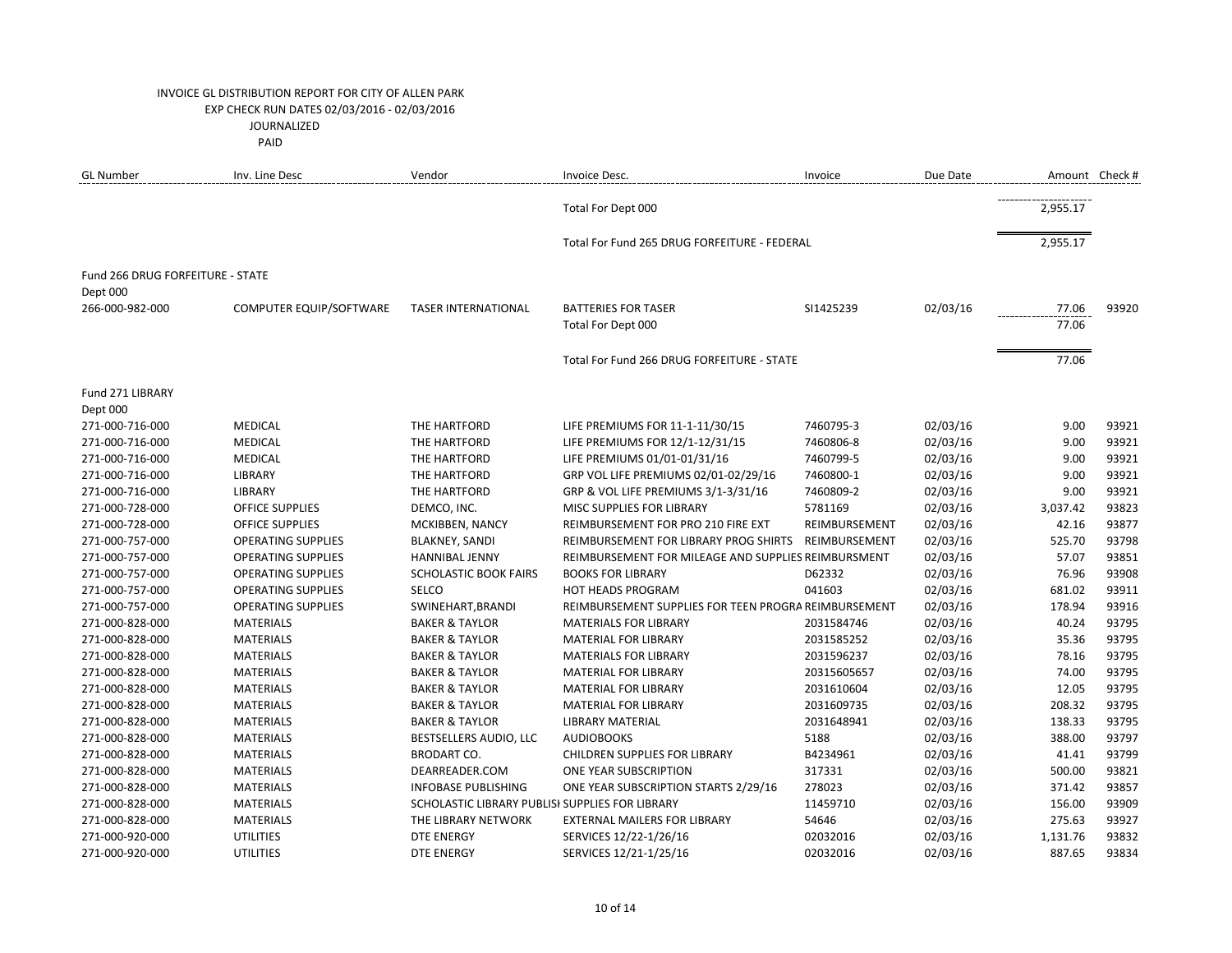| <b>GL Number</b>                 | Inv. Line Desc            | Vendor                                          | Invoice Desc.                                        | Invoice       | Due Date | Amount Check # |       |
|----------------------------------|---------------------------|-------------------------------------------------|------------------------------------------------------|---------------|----------|----------------|-------|
|                                  |                           |                                                 | Total For Dept 000                                   |               |          | 2,955.17       |       |
|                                  |                           |                                                 | Total For Fund 265 DRUG FORFEITURE - FEDERAL         |               |          | 2,955.17       |       |
| Fund 266 DRUG FORFEITURE - STATE |                           |                                                 |                                                      |               |          |                |       |
| Dept 000                         |                           |                                                 |                                                      |               |          |                |       |
| 266-000-982-000                  | COMPUTER EQUIP/SOFTWARE   | <b>TASER INTERNATIONAL</b>                      | <b>BATTERIES FOR TASER</b>                           | SI1425239     | 02/03/16 | 77.06          | 93920 |
|                                  |                           |                                                 | Total For Dept 000                                   |               |          | 77.06          |       |
|                                  |                           |                                                 |                                                      |               |          |                |       |
|                                  |                           |                                                 | Total For Fund 266 DRUG FORFEITURE - STATE           |               |          | 77.06          |       |
| Fund 271 LIBRARY                 |                           |                                                 |                                                      |               |          |                |       |
| Dept 000                         |                           |                                                 |                                                      |               |          |                |       |
| 271-000-716-000                  | MEDICAL                   | THE HARTFORD                                    | LIFE PREMIUMS FOR 11-1-11/30/15                      | 7460795-3     | 02/03/16 | 9.00           | 93921 |
| 271-000-716-000                  | <b>MEDICAL</b>            | THE HARTFORD                                    | LIFE PREMIUMS FOR 12/1-12/31/15                      | 7460806-8     | 02/03/16 | 9.00           | 93921 |
| 271-000-716-000                  | <b>MEDICAL</b>            | THE HARTFORD                                    | LIFE PREMIUMS 01/01-01/31/16                         | 7460799-5     | 02/03/16 | 9.00           | 93921 |
| 271-000-716-000                  | <b>LIBRARY</b>            | THE HARTFORD                                    | GRP VOL LIFE PREMIUMS 02/01-02/29/16                 | 7460800-1     | 02/03/16 | 9.00           | 93921 |
| 271-000-716-000                  | LIBRARY                   | THE HARTFORD                                    | GRP & VOL LIFE PREMIUMS 3/1-3/31/16                  | 7460809-2     | 02/03/16 | 9.00           | 93921 |
| 271-000-728-000                  | <b>OFFICE SUPPLIES</b>    | DEMCO, INC.                                     | MISC SUPPLIES FOR LIBRARY                            | 5781169       | 02/03/16 | 3,037.42       | 93823 |
| 271-000-728-000                  | <b>OFFICE SUPPLIES</b>    | MCKIBBEN, NANCY                                 | REIMBURSEMENT FOR PRO 210 FIRE EXT                   | REIMBURSEMENT | 02/03/16 | 42.16          | 93877 |
| 271-000-757-000                  | <b>OPERATING SUPPLIES</b> | <b>BLAKNEY, SANDI</b>                           | REIMBURSEMENT FOR LIBRARY PROG SHIRTS                | REIMBURSEMENT | 02/03/16 | 525.70         | 93798 |
| 271-000-757-000                  | <b>OPERATING SUPPLIES</b> | <b>HANNIBAL JENNY</b>                           | REIMBURSEMENT FOR MILEAGE AND SUPPLIES REIMBURSMENT  |               | 02/03/16 | 57.07          | 93851 |
| 271-000-757-000                  | <b>OPERATING SUPPLIES</b> | <b>SCHOLASTIC BOOK FAIRS</b>                    | <b>BOOKS FOR LIBRARY</b>                             | D62332        | 02/03/16 | 76.96          | 93908 |
| 271-000-757-000                  | <b>OPERATING SUPPLIES</b> | SELCO                                           | <b>HOT HEADS PROGRAM</b>                             | 041603        | 02/03/16 | 681.02         | 93911 |
| 271-000-757-000                  | <b>OPERATING SUPPLIES</b> | SWINEHART, BRANDI                               | REIMBURSEMENT SUPPLIES FOR TEEN PROGRA REIMBURSEMENT |               | 02/03/16 | 178.94         | 93916 |
| 271-000-828-000                  | <b>MATERIALS</b>          | <b>BAKER &amp; TAYLOR</b>                       | <b>MATERIALS FOR LIBRARY</b>                         | 2031584746    | 02/03/16 | 40.24          | 93795 |
| 271-000-828-000                  | <b>MATERIALS</b>          | <b>BAKER &amp; TAYLOR</b>                       | MATERIAL FOR LIBRARY                                 | 2031585252    | 02/03/16 | 35.36          | 93795 |
| 271-000-828-000                  | <b>MATERIALS</b>          | <b>BAKER &amp; TAYLOR</b>                       | <b>MATERIALS FOR LIBRARY</b>                         | 2031596237    | 02/03/16 | 78.16          | 93795 |
| 271-000-828-000                  | <b>MATERIALS</b>          | <b>BAKER &amp; TAYLOR</b>                       | <b>MATERIAL FOR LIBRARY</b>                          | 20315605657   | 02/03/16 | 74.00          | 93795 |
| 271-000-828-000                  | <b>MATERIALS</b>          | <b>BAKER &amp; TAYLOR</b>                       | <b>MATERIAL FOR LIBRARY</b>                          | 2031610604    | 02/03/16 | 12.05          | 93795 |
| 271-000-828-000                  | <b>MATERIALS</b>          | <b>BAKER &amp; TAYLOR</b>                       | MATERIAL FOR LIBRARY                                 | 2031609735    | 02/03/16 | 208.32         | 93795 |
| 271-000-828-000                  | <b>MATERIALS</b>          | <b>BAKER &amp; TAYLOR</b>                       | <b>LIBRARY MATERIAL</b>                              | 2031648941    | 02/03/16 | 138.33         | 93795 |
| 271-000-828-000                  | <b>MATERIALS</b>          | BESTSELLERS AUDIO, LLC                          | <b>AUDIOBOOKS</b>                                    | 5188          | 02/03/16 | 388.00         | 93797 |
| 271-000-828-000                  | <b>MATERIALS</b>          | <b>BRODART CO.</b>                              | CHILDREN SUPPLIES FOR LIBRARY                        | B4234961      | 02/03/16 | 41.41          | 93799 |
| 271-000-828-000                  | <b>MATERIALS</b>          | DEARREADER.COM                                  | ONE YEAR SUBSCRIPTION                                | 317331        | 02/03/16 | 500.00         | 93821 |
| 271-000-828-000                  | <b>MATERIALS</b>          | <b>INFOBASE PUBLISHING</b>                      | ONE YEAR SUBSCRIPTION STARTS 2/29/16                 | 278023        | 02/03/16 | 371.42         | 93857 |
| 271-000-828-000                  | <b>MATERIALS</b>          | SCHOLASTIC LIBRARY PUBLISI SUPPLIES FOR LIBRARY |                                                      | 11459710      | 02/03/16 | 156.00         | 93909 |
| 271-000-828-000                  | <b>MATERIALS</b>          | THE LIBRARY NETWORK                             | <b>EXTERNAL MAILERS FOR LIBRARY</b>                  | 54646         | 02/03/16 | 275.63         | 93927 |
| 271-000-920-000                  | <b>UTILITIES</b>          | <b>DTE ENERGY</b>                               | SERVICES 12/22-1/26/16                               | 02032016      | 02/03/16 | 1,131.76       | 93832 |
| 271-000-920-000                  | <b>UTILITIES</b>          | DTE ENERGY                                      | SERVICES 12/21-1/25/16                               | 02032016      | 02/03/16 | 887.65         | 93834 |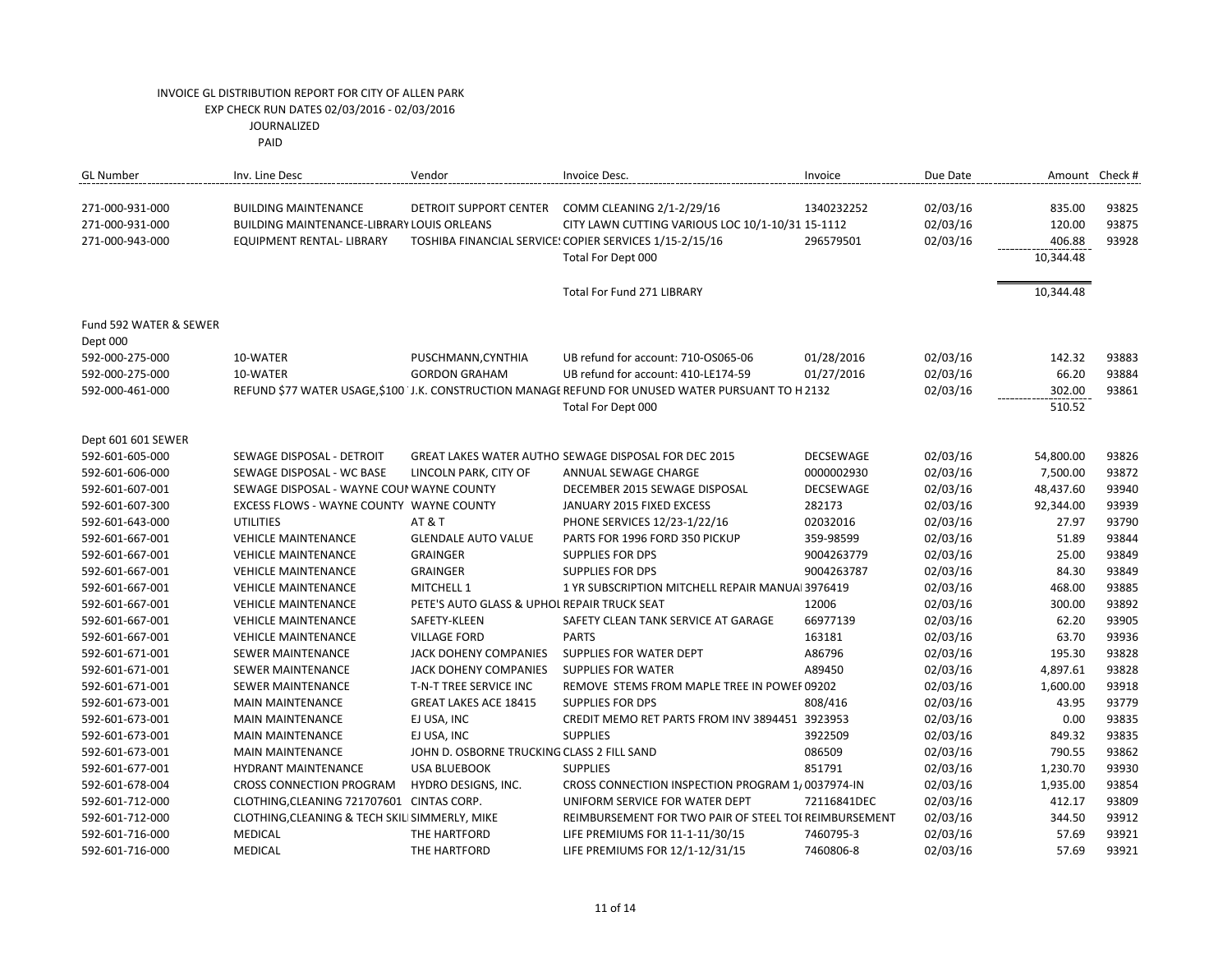PAID

| <b>GL Number</b>                   | Inv. Line Desc                                 | Vendor                                      | Invoice Desc.                                                                                      | Invoice          | Due Date |           | Amount Check # |
|------------------------------------|------------------------------------------------|---------------------------------------------|----------------------------------------------------------------------------------------------------|------------------|----------|-----------|----------------|
| 271-000-931-000                    | <b>BUILDING MAINTENANCE</b>                    | DETROIT SUPPORT CENTER                      | COMM CLEANING 2/1-2/29/16                                                                          | 1340232252       | 02/03/16 | 835.00    | 93825          |
| 271-000-931-000                    | BUILDING MAINTENANCE-LIBRARY LOUIS ORLEANS     |                                             | CITY LAWN CUTTING VARIOUS LOC 10/1-10/31 15-1112                                                   |                  | 02/03/16 | 120.00    | 93875          |
| 271-000-943-000                    | EQUIPMENT RENTAL- LIBRARY                      |                                             | TOSHIBA FINANCIAL SERVICE: COPIER SERVICES 1/15-2/15/16                                            | 296579501        | 02/03/16 | 406.88    | 93928          |
|                                    |                                                |                                             | Total For Dept 000                                                                                 |                  |          | 10,344.48 |                |
|                                    |                                                |                                             | Total For Fund 271 LIBRARY                                                                         |                  |          | 10,344.48 |                |
| Fund 592 WATER & SEWER<br>Dept 000 |                                                |                                             |                                                                                                    |                  |          |           |                |
| 592-000-275-000                    | 10-WATER                                       | PUSCHMANN, CYNTHIA                          | UB refund for account: 710-OS065-06                                                                | 01/28/2016       | 02/03/16 | 142.32    | 93883          |
| 592-000-275-000                    | 10-WATER                                       | <b>GORDON GRAHAM</b>                        | UB refund for account: 410-LE174-59                                                                | 01/27/2016       | 02/03/16 | 66.20     | 93884          |
| 592-000-461-000                    |                                                |                                             | REFUND \$77 WATER USAGE,\$100 'J.K. CONSTRUCTION MANAGE REFUND FOR UNUSED WATER PURSUANT TO H 2132 |                  | 02/03/16 | 302.00    | 93861          |
|                                    |                                                |                                             | Total For Dept 000                                                                                 |                  |          | 510.52    |                |
| Dept 601 601 SEWER                 |                                                |                                             |                                                                                                    |                  |          |           |                |
| 592-601-605-000                    | SEWAGE DISPOSAL - DETROIT                      |                                             | <b>GREAT LAKES WATER AUTHO SEWAGE DISPOSAL FOR DEC 2015</b>                                        | <b>DECSEWAGE</b> | 02/03/16 | 54,800.00 | 93826          |
| 592-601-606-000                    | SEWAGE DISPOSAL - WC BASE                      | LINCOLN PARK, CITY OF                       | ANNUAL SEWAGE CHARGE                                                                               | 0000002930       | 02/03/16 | 7,500.00  | 93872          |
| 592-601-607-001                    | SEWAGE DISPOSAL - WAYNE COUI WAYNE COUNTY      |                                             | DECEMBER 2015 SEWAGE DISPOSAL                                                                      | <b>DECSEWAGE</b> | 02/03/16 | 48,437.60 | 93940          |
| 592-601-607-300                    | EXCESS FLOWS - WAYNE COUNTY WAYNE COUNTY       |                                             | JANUARY 2015 FIXED EXCESS                                                                          | 282173           | 02/03/16 | 92,344.00 | 93939          |
| 592-601-643-000                    | <b>UTILITIES</b>                               | <b>AT &amp; T</b>                           | PHONE SERVICES 12/23-1/22/16                                                                       | 02032016         | 02/03/16 | 27.97     | 93790          |
| 592-601-667-001                    | <b>VEHICLE MAINTENANCE</b>                     | <b>GLENDALE AUTO VALUE</b>                  | PARTS FOR 1996 FORD 350 PICKUP                                                                     | 359-98599        | 02/03/16 | 51.89     | 93844          |
| 592-601-667-001                    | <b>VEHICLE MAINTENANCE</b>                     | <b>GRAINGER</b>                             | <b>SUPPLIES FOR DPS</b>                                                                            | 9004263779       | 02/03/16 | 25.00     | 93849          |
| 592-601-667-001                    | <b>VEHICLE MAINTENANCE</b>                     | <b>GRAINGER</b>                             | <b>SUPPLIES FOR DPS</b>                                                                            | 9004263787       | 02/03/16 | 84.30     | 93849          |
| 592-601-667-001                    | <b>VEHICLE MAINTENANCE</b>                     | MITCHELL 1                                  | 1 YR SUBSCRIPTION MITCHELL REPAIR MANUAL 3976419                                                   |                  | 02/03/16 | 468.00    | 93885          |
| 592-601-667-001                    | <b>VEHICLE MAINTENANCE</b>                     | PETE'S AUTO GLASS & UPHOL REPAIR TRUCK SEAT |                                                                                                    | 12006            | 02/03/16 | 300.00    | 93892          |
| 592-601-667-001                    | <b>VEHICLE MAINTENANCE</b>                     | SAFETY-KLEEN                                | SAFETY CLEAN TANK SERVICE AT GARAGE                                                                | 66977139         | 02/03/16 | 62.20     | 93905          |
| 592-601-667-001                    | <b>VEHICLE MAINTENANCE</b>                     | <b>VILLAGE FORD</b>                         | <b>PARTS</b>                                                                                       | 163181           | 02/03/16 | 63.70     | 93936          |
| 592-601-671-001                    | SEWER MAINTENANCE                              | JACK DOHENY COMPANIES                       | SUPPLIES FOR WATER DEPT                                                                            | A86796           | 02/03/16 | 195.30    | 93828          |
| 592-601-671-001                    | <b>SEWER MAINTENANCE</b>                       | <b>JACK DOHENY COMPANIES</b>                | <b>SUPPLIES FOR WATER</b>                                                                          | A89450           | 02/03/16 | 4,897.61  | 93828          |
| 592-601-671-001                    | <b>SEWER MAINTENANCE</b>                       | T-N-T TREE SERVICE INC                      | REMOVE STEMS FROM MAPLE TREE IN POWEF 09202                                                        |                  | 02/03/16 | 1,600.00  | 93918          |
| 592-601-673-001                    | <b>MAIN MAINTENANCE</b>                        | <b>GREAT LAKES ACE 18415</b>                | <b>SUPPLIES FOR DPS</b>                                                                            | 808/416          | 02/03/16 | 43.95     | 93779          |
| 592-601-673-001                    | <b>MAIN MAINTENANCE</b>                        | EJ USA, INC                                 | CREDIT MEMO RET PARTS FROM INV 3894451 3923953                                                     |                  | 02/03/16 | 0.00      | 93835          |
| 592-601-673-001                    | <b>MAIN MAINTENANCE</b>                        | EJ USA, INC                                 | <b>SUPPLIES</b>                                                                                    | 3922509          | 02/03/16 | 849.32    | 93835          |
| 592-601-673-001                    | <b>MAIN MAINTENANCE</b>                        | JOHN D. OSBORNE TRUCKING CLASS 2 FILL SAND  |                                                                                                    | 086509           | 02/03/16 | 790.55    | 93862          |
| 592-601-677-001                    | <b>HYDRANT MAINTENANCE</b>                     | <b>USA BLUEBOOK</b>                         | <b>SUPPLIES</b>                                                                                    | 851791           | 02/03/16 | 1,230.70  | 93930          |
| 592-601-678-004                    | CROSS CONNECTION PROGRAM                       | HYDRO DESIGNS, INC.                         | CROSS CONNECTION INSPECTION PROGRAM 1, 0037974-IN                                                  |                  | 02/03/16 | 1,935.00  | 93854          |
| 592-601-712-000                    | CLOTHING, CLEANING 721707601 CINTAS CORP.      |                                             | UNIFORM SERVICE FOR WATER DEPT                                                                     | 72116841DEC      | 02/03/16 | 412.17    | 93809          |
| 592-601-712-000                    | CLOTHING, CLEANING & TECH SKILI SIMMERLY, MIKE |                                             | REIMBURSEMENT FOR TWO PAIR OF STEEL TOI REIMBURSEMENT                                              |                  | 02/03/16 | 344.50    | 93912          |
| 592-601-716-000                    | <b>MEDICAL</b>                                 | THE HARTFORD                                | LIFE PREMIUMS FOR 11-1-11/30/15                                                                    | 7460795-3        | 02/03/16 | 57.69     | 93921          |
| 592-601-716-000                    | <b>MEDICAL</b>                                 | THE HARTFORD                                | LIFE PREMIUMS FOR 12/1-12/31/15                                                                    | 7460806-8        | 02/03/16 | 57.69     | 93921          |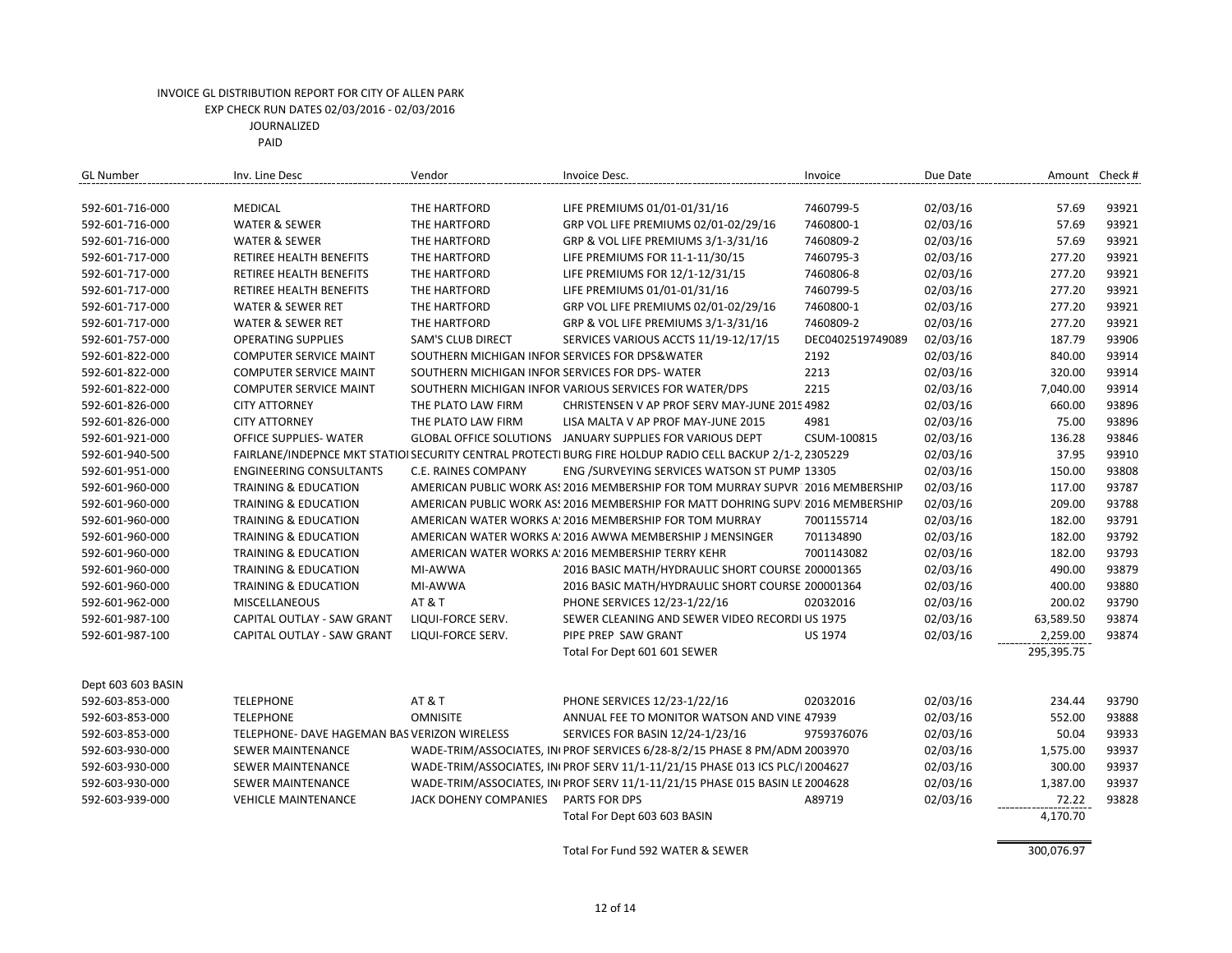| <b>MEDICAL</b><br>THE HARTFORD<br>LIFE PREMIUMS 01/01-01/31/16<br>7460799-5<br>02/03/16<br>57.69<br>93921<br>592-601-716-000<br>02/03/16<br>57.69<br>93921<br>592-601-716-000<br><b>WATER &amp; SEWER</b><br>THE HARTFORD<br>GRP VOL LIFE PREMIUMS 02/01-02/29/16<br>7460800-1<br>02/03/16<br>93921<br>GRP & VOL LIFE PREMIUMS 3/1-3/31/16<br>7460809-2<br>57.69<br>592-601-716-000<br><b>WATER &amp; SEWER</b><br>THE HARTFORD<br>02/03/16<br>277.20<br>93921<br>592-601-717-000<br>RETIREE HEALTH BENEFITS<br>THE HARTFORD<br>LIFE PREMIUMS FOR 11-1-11/30/15<br>7460795-3<br>02/03/16<br>93921<br>592-601-717-000<br>RETIREE HEALTH BENEFITS<br>THE HARTFORD<br>LIFE PREMIUMS FOR 12/1-12/31/15<br>7460806-8<br>277.20<br>93921<br>THE HARTFORD<br>LIFE PREMIUMS 01/01-01/31/16<br>7460799-5<br>02/03/16<br>277.20<br>592-601-717-000<br>RETIREE HEALTH BENEFITS<br>7460800-1<br>02/03/16<br>277.20<br>93921<br>592-601-717-000<br><b>WATER &amp; SEWER RET</b><br>THE HARTFORD<br>GRP VOL LIFE PREMIUMS 02/01-02/29/16<br>93921<br>GRP & VOL LIFE PREMIUMS 3/1-3/31/16<br>7460809-2<br>02/03/16<br>277.20<br>592-601-717-000<br><b>WATER &amp; SEWER RET</b><br>THE HARTFORD<br>02/03/16<br>187.79<br>93906<br><b>OPERATING SUPPLIES</b><br><b>SAM'S CLUB DIRECT</b><br>SERVICES VARIOUS ACCTS 11/19-12/17/15<br>DEC0402519749089<br>592-601-757-000<br>02/03/16<br>840.00<br>93914<br>592-601-822-000<br><b>COMPUTER SERVICE MAINT</b><br>SOUTHERN MICHIGAN INFOR SERVICES FOR DPS&WATER<br>2192<br>SOUTHERN MICHIGAN INFOR SERVICES FOR DPS-WATER<br>02/03/16<br>320.00<br>93914<br>592-601-822-000<br><b>COMPUTER SERVICE MAINT</b><br>2213<br>2215<br>93914<br>592-601-822-000<br><b>COMPUTER SERVICE MAINT</b><br>SOUTHERN MICHIGAN INFOR VARIOUS SERVICES FOR WATER/DPS<br>02/03/16<br>7,040.00<br>02/03/16<br>660.00<br>93896<br>592-601-826-000<br><b>CITY ATTORNEY</b><br>THE PLATO LAW FIRM<br>CHRISTENSEN V AP PROF SERV MAY-JUNE 2015 4982<br>02/03/16<br>93896<br><b>CITY ATTORNEY</b><br>4981<br>75.00<br>592-601-826-000<br>THE PLATO LAW FIRM<br>LISA MALTA V AP PROF MAY-JUNE 2015<br>93846<br>GLOBAL OFFICE SOLUTIONS JANUARY SUPPLIES FOR VARIOUS DEPT<br>CSUM-100815<br>02/03/16<br>136.28<br>592-601-921-000<br>OFFICE SUPPLIES- WATER<br>37.95<br>93910<br>02/03/16<br>592-601-940-500<br>FAIRLANE/INDEPNCE MKT STATIOI SECURITY CENTRAL PROTECTI BURG FIRE HOLDUP RADIO CELL BACKUP 2/1-2, 2305229<br>C.E. RAINES COMPANY<br>02/03/16<br>150.00<br>93808<br>592-601-951-000<br><b>ENGINEERING CONSULTANTS</b><br>ENG /SURVEYING SERVICES WATSON ST PUMP 13305<br>02/03/16<br>117.00<br>93787<br>592-601-960-000<br><b>TRAINING &amp; EDUCATION</b><br>AMERICAN PUBLIC WORK AS: 2016 MEMBERSHIP FOR TOM MURRAY SUPVR 2016 MEMBERSHIP<br>93788<br>02/03/16<br>209.00<br>592-601-960-000<br><b>TRAINING &amp; EDUCATION</b><br>AMERICAN PUBLIC WORK AS! 2016 MEMBERSHIP FOR MATT DOHRING SUPV 2016 MEMBERSHIP<br>93791<br>AMERICAN WATER WORKS A: 2016 MEMBERSHIP FOR TOM MURRAY<br>02/03/16<br>182.00<br>592-601-960-000<br><b>TRAINING &amp; EDUCATION</b><br>7001155714<br>93792<br>02/03/16<br>182.00<br>592-601-960-000<br><b>TRAINING &amp; EDUCATION</b><br>AMERICAN WATER WORKS A: 2016 AWWA MEMBERSHIP J MENSINGER<br>701134890<br>93793<br>02/03/16<br>182.00<br>592-601-960-000<br><b>TRAINING &amp; EDUCATION</b><br>AMERICAN WATER WORKS A: 2016 MEMBERSHIP TERRY KEHR<br>7001143082<br>93879<br>2016 BASIC MATH/HYDRAULIC SHORT COURSE 200001365<br>02/03/16<br>490.00<br>592-601-960-000<br><b>TRAINING &amp; EDUCATION</b><br>MI-AWWA<br>93880<br>592-601-960-000<br><b>TRAINING &amp; EDUCATION</b><br>MI-AWWA<br>2016 BASIC MATH/HYDRAULIC SHORT COURSE 200001364<br>02/03/16<br>400.00<br>AT&T<br>02/03/16<br>200.02<br>93790<br>592-601-962-000<br>MISCELLANEOUS<br>PHONE SERVICES 12/23-1/22/16<br>02032016<br>93874<br>592-601-987-100<br>CAPITAL OUTLAY - SAW GRANT<br>LIQUI-FORCE SERV.<br>SEWER CLEANING AND SEWER VIDEO RECORDI US 1975<br>02/03/16<br>63,589.50<br>PIPE PREP SAW GRANT<br><b>US 1974</b><br>02/03/16<br>2,259.00<br>93874<br>CAPITAL OUTLAY - SAW GRANT<br>LIQUI-FORCE SERV.<br>592-601-987-100<br>Total For Dept 601 601 SEWER<br>295,395.75<br>Dept 603 603 BASIN<br><b>TELEPHONE</b><br>AT&T<br>PHONE SERVICES 12/23-1/22/16<br>02032016<br>02/03/16<br>93790<br>592-603-853-000<br>234.44<br><b>OMNISITE</b><br>ANNUAL FEE TO MONITOR WATSON AND VINE 47939<br>02/03/16<br>552.00<br>93888<br>592-603-853-000<br><b>TELEPHONE</b><br>TELEPHONE- DAVE HAGEMAN BAS VERIZON WIRELESS<br>SERVICES FOR BASIN 12/24-1/23/16<br>9759376076<br>02/03/16<br>50.04<br>93933<br>592-603-853-000<br>93937<br>WADE-TRIM/ASSOCIATES, INI PROF SERVICES 6/28-8/2/15 PHASE 8 PM/ADM 2003970<br>02/03/16<br>1,575.00<br>592-603-930-000<br><b>SEWER MAINTENANCE</b><br>WADE-TRIM/ASSOCIATES, IN PROF SERV 11/1-11/21/15 PHASE 013 ICS PLC/I 2004627<br>02/03/16<br>300.00<br>93937<br>592-603-930-000<br><b>SEWER MAINTENANCE</b><br>WADE-TRIM/ASSOCIATES, INI PROF SERV 11/1-11/21/15 PHASE 015 BASIN LE 2004628<br>02/03/16<br>93937<br>592-603-930-000<br>SEWER MAINTENANCE<br>1,387.00<br>93828<br>JACK DOHENY COMPANIES<br><b>PARTS FOR DPS</b><br>A89719<br>02/03/16<br>72.22<br>592-603-939-000<br><b>VEHICLE MAINTENANCE</b> | <b>GL Number</b> | Inv. Line Desc | Vendor | Invoice Desc.                | Invoice | Due Date | Amount Check # |  |
|--------------------------------------------------------------------------------------------------------------------------------------------------------------------------------------------------------------------------------------------------------------------------------------------------------------------------------------------------------------------------------------------------------------------------------------------------------------------------------------------------------------------------------------------------------------------------------------------------------------------------------------------------------------------------------------------------------------------------------------------------------------------------------------------------------------------------------------------------------------------------------------------------------------------------------------------------------------------------------------------------------------------------------------------------------------------------------------------------------------------------------------------------------------------------------------------------------------------------------------------------------------------------------------------------------------------------------------------------------------------------------------------------------------------------------------------------------------------------------------------------------------------------------------------------------------------------------------------------------------------------------------------------------------------------------------------------------------------------------------------------------------------------------------------------------------------------------------------------------------------------------------------------------------------------------------------------------------------------------------------------------------------------------------------------------------------------------------------------------------------------------------------------------------------------------------------------------------------------------------------------------------------------------------------------------------------------------------------------------------------------------------------------------------------------------------------------------------------------------------------------------------------------------------------------------------------------------------------------------------------------------------------------------------------------------------------------------------------------------------------------------------------------------------------------------------------------------------------------------------------------------------------------------------------------------------------------------------------------------------------------------------------------------------------------------------------------------------------------------------------------------------------------------------------------------------------------------------------------------------------------------------------------------------------------------------------------------------------------------------------------------------------------------------------------------------------------------------------------------------------------------------------------------------------------------------------------------------------------------------------------------------------------------------------------------------------------------------------------------------------------------------------------------------------------------------------------------------------------------------------------------------------------------------------------------------------------------------------------------------------------------------------------------------------------------------------------------------------------------------------------------------------------------------------------------------------------------------------------------------------------------------------------------------------------------------------------------------------------------------------------------------------------------------------------------------------------------------------------------------------------------------------------------------------------------------------------------------------------------------------------------------------------------------------------------------------------------------------------------------------------------------------------------------------------------------------------------------------------------------------------------------------------------------------------------------------------------------------------------------------------------------------------------------------------------------------------------------------------------------------------------------------------------------------------------------------------------------------------------------------------------------------------------------------|------------------|----------------|--------|------------------------------|---------|----------|----------------|--|
|                                                                                                                                                                                                                                                                                                                                                                                                                                                                                                                                                                                                                                                                                                                                                                                                                                                                                                                                                                                                                                                                                                                                                                                                                                                                                                                                                                                                                                                                                                                                                                                                                                                                                                                                                                                                                                                                                                                                                                                                                                                                                                                                                                                                                                                                                                                                                                                                                                                                                                                                                                                                                                                                                                                                                                                                                                                                                                                                                                                                                                                                                                                                                                                                                                                                                                                                                                                                                                                                                                                                                                                                                                                                                                                                                                                                                                                                                                                                                                                                                                                                                                                                                                                                                                                                                                                                                                                                                                                                                                                                                                                                                                                                                                                                                                                                                                                                                                                                                                                                                                                                                                                                                                                                                                                                                            |                  |                |        |                              |         |          |                |  |
|                                                                                                                                                                                                                                                                                                                                                                                                                                                                                                                                                                                                                                                                                                                                                                                                                                                                                                                                                                                                                                                                                                                                                                                                                                                                                                                                                                                                                                                                                                                                                                                                                                                                                                                                                                                                                                                                                                                                                                                                                                                                                                                                                                                                                                                                                                                                                                                                                                                                                                                                                                                                                                                                                                                                                                                                                                                                                                                                                                                                                                                                                                                                                                                                                                                                                                                                                                                                                                                                                                                                                                                                                                                                                                                                                                                                                                                                                                                                                                                                                                                                                                                                                                                                                                                                                                                                                                                                                                                                                                                                                                                                                                                                                                                                                                                                                                                                                                                                                                                                                                                                                                                                                                                                                                                                                            |                  |                |        |                              |         |          |                |  |
|                                                                                                                                                                                                                                                                                                                                                                                                                                                                                                                                                                                                                                                                                                                                                                                                                                                                                                                                                                                                                                                                                                                                                                                                                                                                                                                                                                                                                                                                                                                                                                                                                                                                                                                                                                                                                                                                                                                                                                                                                                                                                                                                                                                                                                                                                                                                                                                                                                                                                                                                                                                                                                                                                                                                                                                                                                                                                                                                                                                                                                                                                                                                                                                                                                                                                                                                                                                                                                                                                                                                                                                                                                                                                                                                                                                                                                                                                                                                                                                                                                                                                                                                                                                                                                                                                                                                                                                                                                                                                                                                                                                                                                                                                                                                                                                                                                                                                                                                                                                                                                                                                                                                                                                                                                                                                            |                  |                |        |                              |         |          |                |  |
|                                                                                                                                                                                                                                                                                                                                                                                                                                                                                                                                                                                                                                                                                                                                                                                                                                                                                                                                                                                                                                                                                                                                                                                                                                                                                                                                                                                                                                                                                                                                                                                                                                                                                                                                                                                                                                                                                                                                                                                                                                                                                                                                                                                                                                                                                                                                                                                                                                                                                                                                                                                                                                                                                                                                                                                                                                                                                                                                                                                                                                                                                                                                                                                                                                                                                                                                                                                                                                                                                                                                                                                                                                                                                                                                                                                                                                                                                                                                                                                                                                                                                                                                                                                                                                                                                                                                                                                                                                                                                                                                                                                                                                                                                                                                                                                                                                                                                                                                                                                                                                                                                                                                                                                                                                                                                            |                  |                |        |                              |         |          |                |  |
|                                                                                                                                                                                                                                                                                                                                                                                                                                                                                                                                                                                                                                                                                                                                                                                                                                                                                                                                                                                                                                                                                                                                                                                                                                                                                                                                                                                                                                                                                                                                                                                                                                                                                                                                                                                                                                                                                                                                                                                                                                                                                                                                                                                                                                                                                                                                                                                                                                                                                                                                                                                                                                                                                                                                                                                                                                                                                                                                                                                                                                                                                                                                                                                                                                                                                                                                                                                                                                                                                                                                                                                                                                                                                                                                                                                                                                                                                                                                                                                                                                                                                                                                                                                                                                                                                                                                                                                                                                                                                                                                                                                                                                                                                                                                                                                                                                                                                                                                                                                                                                                                                                                                                                                                                                                                                            |                  |                |        |                              |         |          |                |  |
|                                                                                                                                                                                                                                                                                                                                                                                                                                                                                                                                                                                                                                                                                                                                                                                                                                                                                                                                                                                                                                                                                                                                                                                                                                                                                                                                                                                                                                                                                                                                                                                                                                                                                                                                                                                                                                                                                                                                                                                                                                                                                                                                                                                                                                                                                                                                                                                                                                                                                                                                                                                                                                                                                                                                                                                                                                                                                                                                                                                                                                                                                                                                                                                                                                                                                                                                                                                                                                                                                                                                                                                                                                                                                                                                                                                                                                                                                                                                                                                                                                                                                                                                                                                                                                                                                                                                                                                                                                                                                                                                                                                                                                                                                                                                                                                                                                                                                                                                                                                                                                                                                                                                                                                                                                                                                            |                  |                |        |                              |         |          |                |  |
|                                                                                                                                                                                                                                                                                                                                                                                                                                                                                                                                                                                                                                                                                                                                                                                                                                                                                                                                                                                                                                                                                                                                                                                                                                                                                                                                                                                                                                                                                                                                                                                                                                                                                                                                                                                                                                                                                                                                                                                                                                                                                                                                                                                                                                                                                                                                                                                                                                                                                                                                                                                                                                                                                                                                                                                                                                                                                                                                                                                                                                                                                                                                                                                                                                                                                                                                                                                                                                                                                                                                                                                                                                                                                                                                                                                                                                                                                                                                                                                                                                                                                                                                                                                                                                                                                                                                                                                                                                                                                                                                                                                                                                                                                                                                                                                                                                                                                                                                                                                                                                                                                                                                                                                                                                                                                            |                  |                |        |                              |         |          |                |  |
|                                                                                                                                                                                                                                                                                                                                                                                                                                                                                                                                                                                                                                                                                                                                                                                                                                                                                                                                                                                                                                                                                                                                                                                                                                                                                                                                                                                                                                                                                                                                                                                                                                                                                                                                                                                                                                                                                                                                                                                                                                                                                                                                                                                                                                                                                                                                                                                                                                                                                                                                                                                                                                                                                                                                                                                                                                                                                                                                                                                                                                                                                                                                                                                                                                                                                                                                                                                                                                                                                                                                                                                                                                                                                                                                                                                                                                                                                                                                                                                                                                                                                                                                                                                                                                                                                                                                                                                                                                                                                                                                                                                                                                                                                                                                                                                                                                                                                                                                                                                                                                                                                                                                                                                                                                                                                            |                  |                |        |                              |         |          |                |  |
|                                                                                                                                                                                                                                                                                                                                                                                                                                                                                                                                                                                                                                                                                                                                                                                                                                                                                                                                                                                                                                                                                                                                                                                                                                                                                                                                                                                                                                                                                                                                                                                                                                                                                                                                                                                                                                                                                                                                                                                                                                                                                                                                                                                                                                                                                                                                                                                                                                                                                                                                                                                                                                                                                                                                                                                                                                                                                                                                                                                                                                                                                                                                                                                                                                                                                                                                                                                                                                                                                                                                                                                                                                                                                                                                                                                                                                                                                                                                                                                                                                                                                                                                                                                                                                                                                                                                                                                                                                                                                                                                                                                                                                                                                                                                                                                                                                                                                                                                                                                                                                                                                                                                                                                                                                                                                            |                  |                |        |                              |         |          |                |  |
|                                                                                                                                                                                                                                                                                                                                                                                                                                                                                                                                                                                                                                                                                                                                                                                                                                                                                                                                                                                                                                                                                                                                                                                                                                                                                                                                                                                                                                                                                                                                                                                                                                                                                                                                                                                                                                                                                                                                                                                                                                                                                                                                                                                                                                                                                                                                                                                                                                                                                                                                                                                                                                                                                                                                                                                                                                                                                                                                                                                                                                                                                                                                                                                                                                                                                                                                                                                                                                                                                                                                                                                                                                                                                                                                                                                                                                                                                                                                                                                                                                                                                                                                                                                                                                                                                                                                                                                                                                                                                                                                                                                                                                                                                                                                                                                                                                                                                                                                                                                                                                                                                                                                                                                                                                                                                            |                  |                |        |                              |         |          |                |  |
|                                                                                                                                                                                                                                                                                                                                                                                                                                                                                                                                                                                                                                                                                                                                                                                                                                                                                                                                                                                                                                                                                                                                                                                                                                                                                                                                                                                                                                                                                                                                                                                                                                                                                                                                                                                                                                                                                                                                                                                                                                                                                                                                                                                                                                                                                                                                                                                                                                                                                                                                                                                                                                                                                                                                                                                                                                                                                                                                                                                                                                                                                                                                                                                                                                                                                                                                                                                                                                                                                                                                                                                                                                                                                                                                                                                                                                                                                                                                                                                                                                                                                                                                                                                                                                                                                                                                                                                                                                                                                                                                                                                                                                                                                                                                                                                                                                                                                                                                                                                                                                                                                                                                                                                                                                                                                            |                  |                |        |                              |         |          |                |  |
|                                                                                                                                                                                                                                                                                                                                                                                                                                                                                                                                                                                                                                                                                                                                                                                                                                                                                                                                                                                                                                                                                                                                                                                                                                                                                                                                                                                                                                                                                                                                                                                                                                                                                                                                                                                                                                                                                                                                                                                                                                                                                                                                                                                                                                                                                                                                                                                                                                                                                                                                                                                                                                                                                                                                                                                                                                                                                                                                                                                                                                                                                                                                                                                                                                                                                                                                                                                                                                                                                                                                                                                                                                                                                                                                                                                                                                                                                                                                                                                                                                                                                                                                                                                                                                                                                                                                                                                                                                                                                                                                                                                                                                                                                                                                                                                                                                                                                                                                                                                                                                                                                                                                                                                                                                                                                            |                  |                |        |                              |         |          |                |  |
|                                                                                                                                                                                                                                                                                                                                                                                                                                                                                                                                                                                                                                                                                                                                                                                                                                                                                                                                                                                                                                                                                                                                                                                                                                                                                                                                                                                                                                                                                                                                                                                                                                                                                                                                                                                                                                                                                                                                                                                                                                                                                                                                                                                                                                                                                                                                                                                                                                                                                                                                                                                                                                                                                                                                                                                                                                                                                                                                                                                                                                                                                                                                                                                                                                                                                                                                                                                                                                                                                                                                                                                                                                                                                                                                                                                                                                                                                                                                                                                                                                                                                                                                                                                                                                                                                                                                                                                                                                                                                                                                                                                                                                                                                                                                                                                                                                                                                                                                                                                                                                                                                                                                                                                                                                                                                            |                  |                |        |                              |         |          |                |  |
|                                                                                                                                                                                                                                                                                                                                                                                                                                                                                                                                                                                                                                                                                                                                                                                                                                                                                                                                                                                                                                                                                                                                                                                                                                                                                                                                                                                                                                                                                                                                                                                                                                                                                                                                                                                                                                                                                                                                                                                                                                                                                                                                                                                                                                                                                                                                                                                                                                                                                                                                                                                                                                                                                                                                                                                                                                                                                                                                                                                                                                                                                                                                                                                                                                                                                                                                                                                                                                                                                                                                                                                                                                                                                                                                                                                                                                                                                                                                                                                                                                                                                                                                                                                                                                                                                                                                                                                                                                                                                                                                                                                                                                                                                                                                                                                                                                                                                                                                                                                                                                                                                                                                                                                                                                                                                            |                  |                |        |                              |         |          |                |  |
|                                                                                                                                                                                                                                                                                                                                                                                                                                                                                                                                                                                                                                                                                                                                                                                                                                                                                                                                                                                                                                                                                                                                                                                                                                                                                                                                                                                                                                                                                                                                                                                                                                                                                                                                                                                                                                                                                                                                                                                                                                                                                                                                                                                                                                                                                                                                                                                                                                                                                                                                                                                                                                                                                                                                                                                                                                                                                                                                                                                                                                                                                                                                                                                                                                                                                                                                                                                                                                                                                                                                                                                                                                                                                                                                                                                                                                                                                                                                                                                                                                                                                                                                                                                                                                                                                                                                                                                                                                                                                                                                                                                                                                                                                                                                                                                                                                                                                                                                                                                                                                                                                                                                                                                                                                                                                            |                  |                |        |                              |         |          |                |  |
|                                                                                                                                                                                                                                                                                                                                                                                                                                                                                                                                                                                                                                                                                                                                                                                                                                                                                                                                                                                                                                                                                                                                                                                                                                                                                                                                                                                                                                                                                                                                                                                                                                                                                                                                                                                                                                                                                                                                                                                                                                                                                                                                                                                                                                                                                                                                                                                                                                                                                                                                                                                                                                                                                                                                                                                                                                                                                                                                                                                                                                                                                                                                                                                                                                                                                                                                                                                                                                                                                                                                                                                                                                                                                                                                                                                                                                                                                                                                                                                                                                                                                                                                                                                                                                                                                                                                                                                                                                                                                                                                                                                                                                                                                                                                                                                                                                                                                                                                                                                                                                                                                                                                                                                                                                                                                            |                  |                |        |                              |         |          |                |  |
|                                                                                                                                                                                                                                                                                                                                                                                                                                                                                                                                                                                                                                                                                                                                                                                                                                                                                                                                                                                                                                                                                                                                                                                                                                                                                                                                                                                                                                                                                                                                                                                                                                                                                                                                                                                                                                                                                                                                                                                                                                                                                                                                                                                                                                                                                                                                                                                                                                                                                                                                                                                                                                                                                                                                                                                                                                                                                                                                                                                                                                                                                                                                                                                                                                                                                                                                                                                                                                                                                                                                                                                                                                                                                                                                                                                                                                                                                                                                                                                                                                                                                                                                                                                                                                                                                                                                                                                                                                                                                                                                                                                                                                                                                                                                                                                                                                                                                                                                                                                                                                                                                                                                                                                                                                                                                            |                  |                |        |                              |         |          |                |  |
|                                                                                                                                                                                                                                                                                                                                                                                                                                                                                                                                                                                                                                                                                                                                                                                                                                                                                                                                                                                                                                                                                                                                                                                                                                                                                                                                                                                                                                                                                                                                                                                                                                                                                                                                                                                                                                                                                                                                                                                                                                                                                                                                                                                                                                                                                                                                                                                                                                                                                                                                                                                                                                                                                                                                                                                                                                                                                                                                                                                                                                                                                                                                                                                                                                                                                                                                                                                                                                                                                                                                                                                                                                                                                                                                                                                                                                                                                                                                                                                                                                                                                                                                                                                                                                                                                                                                                                                                                                                                                                                                                                                                                                                                                                                                                                                                                                                                                                                                                                                                                                                                                                                                                                                                                                                                                            |                  |                |        |                              |         |          |                |  |
|                                                                                                                                                                                                                                                                                                                                                                                                                                                                                                                                                                                                                                                                                                                                                                                                                                                                                                                                                                                                                                                                                                                                                                                                                                                                                                                                                                                                                                                                                                                                                                                                                                                                                                                                                                                                                                                                                                                                                                                                                                                                                                                                                                                                                                                                                                                                                                                                                                                                                                                                                                                                                                                                                                                                                                                                                                                                                                                                                                                                                                                                                                                                                                                                                                                                                                                                                                                                                                                                                                                                                                                                                                                                                                                                                                                                                                                                                                                                                                                                                                                                                                                                                                                                                                                                                                                                                                                                                                                                                                                                                                                                                                                                                                                                                                                                                                                                                                                                                                                                                                                                                                                                                                                                                                                                                            |                  |                |        |                              |         |          |                |  |
|                                                                                                                                                                                                                                                                                                                                                                                                                                                                                                                                                                                                                                                                                                                                                                                                                                                                                                                                                                                                                                                                                                                                                                                                                                                                                                                                                                                                                                                                                                                                                                                                                                                                                                                                                                                                                                                                                                                                                                                                                                                                                                                                                                                                                                                                                                                                                                                                                                                                                                                                                                                                                                                                                                                                                                                                                                                                                                                                                                                                                                                                                                                                                                                                                                                                                                                                                                                                                                                                                                                                                                                                                                                                                                                                                                                                                                                                                                                                                                                                                                                                                                                                                                                                                                                                                                                                                                                                                                                                                                                                                                                                                                                                                                                                                                                                                                                                                                                                                                                                                                                                                                                                                                                                                                                                                            |                  |                |        |                              |         |          |                |  |
|                                                                                                                                                                                                                                                                                                                                                                                                                                                                                                                                                                                                                                                                                                                                                                                                                                                                                                                                                                                                                                                                                                                                                                                                                                                                                                                                                                                                                                                                                                                                                                                                                                                                                                                                                                                                                                                                                                                                                                                                                                                                                                                                                                                                                                                                                                                                                                                                                                                                                                                                                                                                                                                                                                                                                                                                                                                                                                                                                                                                                                                                                                                                                                                                                                                                                                                                                                                                                                                                                                                                                                                                                                                                                                                                                                                                                                                                                                                                                                                                                                                                                                                                                                                                                                                                                                                                                                                                                                                                                                                                                                                                                                                                                                                                                                                                                                                                                                                                                                                                                                                                                                                                                                                                                                                                                            |                  |                |        |                              |         |          |                |  |
|                                                                                                                                                                                                                                                                                                                                                                                                                                                                                                                                                                                                                                                                                                                                                                                                                                                                                                                                                                                                                                                                                                                                                                                                                                                                                                                                                                                                                                                                                                                                                                                                                                                                                                                                                                                                                                                                                                                                                                                                                                                                                                                                                                                                                                                                                                                                                                                                                                                                                                                                                                                                                                                                                                                                                                                                                                                                                                                                                                                                                                                                                                                                                                                                                                                                                                                                                                                                                                                                                                                                                                                                                                                                                                                                                                                                                                                                                                                                                                                                                                                                                                                                                                                                                                                                                                                                                                                                                                                                                                                                                                                                                                                                                                                                                                                                                                                                                                                                                                                                                                                                                                                                                                                                                                                                                            |                  |                |        |                              |         |          |                |  |
|                                                                                                                                                                                                                                                                                                                                                                                                                                                                                                                                                                                                                                                                                                                                                                                                                                                                                                                                                                                                                                                                                                                                                                                                                                                                                                                                                                                                                                                                                                                                                                                                                                                                                                                                                                                                                                                                                                                                                                                                                                                                                                                                                                                                                                                                                                                                                                                                                                                                                                                                                                                                                                                                                                                                                                                                                                                                                                                                                                                                                                                                                                                                                                                                                                                                                                                                                                                                                                                                                                                                                                                                                                                                                                                                                                                                                                                                                                                                                                                                                                                                                                                                                                                                                                                                                                                                                                                                                                                                                                                                                                                                                                                                                                                                                                                                                                                                                                                                                                                                                                                                                                                                                                                                                                                                                            |                  |                |        |                              |         |          |                |  |
|                                                                                                                                                                                                                                                                                                                                                                                                                                                                                                                                                                                                                                                                                                                                                                                                                                                                                                                                                                                                                                                                                                                                                                                                                                                                                                                                                                                                                                                                                                                                                                                                                                                                                                                                                                                                                                                                                                                                                                                                                                                                                                                                                                                                                                                                                                                                                                                                                                                                                                                                                                                                                                                                                                                                                                                                                                                                                                                                                                                                                                                                                                                                                                                                                                                                                                                                                                                                                                                                                                                                                                                                                                                                                                                                                                                                                                                                                                                                                                                                                                                                                                                                                                                                                                                                                                                                                                                                                                                                                                                                                                                                                                                                                                                                                                                                                                                                                                                                                                                                                                                                                                                                                                                                                                                                                            |                  |                |        |                              |         |          |                |  |
|                                                                                                                                                                                                                                                                                                                                                                                                                                                                                                                                                                                                                                                                                                                                                                                                                                                                                                                                                                                                                                                                                                                                                                                                                                                                                                                                                                                                                                                                                                                                                                                                                                                                                                                                                                                                                                                                                                                                                                                                                                                                                                                                                                                                                                                                                                                                                                                                                                                                                                                                                                                                                                                                                                                                                                                                                                                                                                                                                                                                                                                                                                                                                                                                                                                                                                                                                                                                                                                                                                                                                                                                                                                                                                                                                                                                                                                                                                                                                                                                                                                                                                                                                                                                                                                                                                                                                                                                                                                                                                                                                                                                                                                                                                                                                                                                                                                                                                                                                                                                                                                                                                                                                                                                                                                                                            |                  |                |        |                              |         |          |                |  |
|                                                                                                                                                                                                                                                                                                                                                                                                                                                                                                                                                                                                                                                                                                                                                                                                                                                                                                                                                                                                                                                                                                                                                                                                                                                                                                                                                                                                                                                                                                                                                                                                                                                                                                                                                                                                                                                                                                                                                                                                                                                                                                                                                                                                                                                                                                                                                                                                                                                                                                                                                                                                                                                                                                                                                                                                                                                                                                                                                                                                                                                                                                                                                                                                                                                                                                                                                                                                                                                                                                                                                                                                                                                                                                                                                                                                                                                                                                                                                                                                                                                                                                                                                                                                                                                                                                                                                                                                                                                                                                                                                                                                                                                                                                                                                                                                                                                                                                                                                                                                                                                                                                                                                                                                                                                                                            |                  |                |        |                              |         |          |                |  |
|                                                                                                                                                                                                                                                                                                                                                                                                                                                                                                                                                                                                                                                                                                                                                                                                                                                                                                                                                                                                                                                                                                                                                                                                                                                                                                                                                                                                                                                                                                                                                                                                                                                                                                                                                                                                                                                                                                                                                                                                                                                                                                                                                                                                                                                                                                                                                                                                                                                                                                                                                                                                                                                                                                                                                                                                                                                                                                                                                                                                                                                                                                                                                                                                                                                                                                                                                                                                                                                                                                                                                                                                                                                                                                                                                                                                                                                                                                                                                                                                                                                                                                                                                                                                                                                                                                                                                                                                                                                                                                                                                                                                                                                                                                                                                                                                                                                                                                                                                                                                                                                                                                                                                                                                                                                                                            |                  |                |        |                              |         |          |                |  |
|                                                                                                                                                                                                                                                                                                                                                                                                                                                                                                                                                                                                                                                                                                                                                                                                                                                                                                                                                                                                                                                                                                                                                                                                                                                                                                                                                                                                                                                                                                                                                                                                                                                                                                                                                                                                                                                                                                                                                                                                                                                                                                                                                                                                                                                                                                                                                                                                                                                                                                                                                                                                                                                                                                                                                                                                                                                                                                                                                                                                                                                                                                                                                                                                                                                                                                                                                                                                                                                                                                                                                                                                                                                                                                                                                                                                                                                                                                                                                                                                                                                                                                                                                                                                                                                                                                                                                                                                                                                                                                                                                                                                                                                                                                                                                                                                                                                                                                                                                                                                                                                                                                                                                                                                                                                                                            |                  |                |        |                              |         |          |                |  |
|                                                                                                                                                                                                                                                                                                                                                                                                                                                                                                                                                                                                                                                                                                                                                                                                                                                                                                                                                                                                                                                                                                                                                                                                                                                                                                                                                                                                                                                                                                                                                                                                                                                                                                                                                                                                                                                                                                                                                                                                                                                                                                                                                                                                                                                                                                                                                                                                                                                                                                                                                                                                                                                                                                                                                                                                                                                                                                                                                                                                                                                                                                                                                                                                                                                                                                                                                                                                                                                                                                                                                                                                                                                                                                                                                                                                                                                                                                                                                                                                                                                                                                                                                                                                                                                                                                                                                                                                                                                                                                                                                                                                                                                                                                                                                                                                                                                                                                                                                                                                                                                                                                                                                                                                                                                                                            |                  |                |        |                              |         |          |                |  |
|                                                                                                                                                                                                                                                                                                                                                                                                                                                                                                                                                                                                                                                                                                                                                                                                                                                                                                                                                                                                                                                                                                                                                                                                                                                                                                                                                                                                                                                                                                                                                                                                                                                                                                                                                                                                                                                                                                                                                                                                                                                                                                                                                                                                                                                                                                                                                                                                                                                                                                                                                                                                                                                                                                                                                                                                                                                                                                                                                                                                                                                                                                                                                                                                                                                                                                                                                                                                                                                                                                                                                                                                                                                                                                                                                                                                                                                                                                                                                                                                                                                                                                                                                                                                                                                                                                                                                                                                                                                                                                                                                                                                                                                                                                                                                                                                                                                                                                                                                                                                                                                                                                                                                                                                                                                                                            |                  |                |        |                              |         |          |                |  |
|                                                                                                                                                                                                                                                                                                                                                                                                                                                                                                                                                                                                                                                                                                                                                                                                                                                                                                                                                                                                                                                                                                                                                                                                                                                                                                                                                                                                                                                                                                                                                                                                                                                                                                                                                                                                                                                                                                                                                                                                                                                                                                                                                                                                                                                                                                                                                                                                                                                                                                                                                                                                                                                                                                                                                                                                                                                                                                                                                                                                                                                                                                                                                                                                                                                                                                                                                                                                                                                                                                                                                                                                                                                                                                                                                                                                                                                                                                                                                                                                                                                                                                                                                                                                                                                                                                                                                                                                                                                                                                                                                                                                                                                                                                                                                                                                                                                                                                                                                                                                                                                                                                                                                                                                                                                                                            |                  |                |        |                              |         |          |                |  |
|                                                                                                                                                                                                                                                                                                                                                                                                                                                                                                                                                                                                                                                                                                                                                                                                                                                                                                                                                                                                                                                                                                                                                                                                                                                                                                                                                                                                                                                                                                                                                                                                                                                                                                                                                                                                                                                                                                                                                                                                                                                                                                                                                                                                                                                                                                                                                                                                                                                                                                                                                                                                                                                                                                                                                                                                                                                                                                                                                                                                                                                                                                                                                                                                                                                                                                                                                                                                                                                                                                                                                                                                                                                                                                                                                                                                                                                                                                                                                                                                                                                                                                                                                                                                                                                                                                                                                                                                                                                                                                                                                                                                                                                                                                                                                                                                                                                                                                                                                                                                                                                                                                                                                                                                                                                                                            |                  |                |        |                              |         |          |                |  |
|                                                                                                                                                                                                                                                                                                                                                                                                                                                                                                                                                                                                                                                                                                                                                                                                                                                                                                                                                                                                                                                                                                                                                                                                                                                                                                                                                                                                                                                                                                                                                                                                                                                                                                                                                                                                                                                                                                                                                                                                                                                                                                                                                                                                                                                                                                                                                                                                                                                                                                                                                                                                                                                                                                                                                                                                                                                                                                                                                                                                                                                                                                                                                                                                                                                                                                                                                                                                                                                                                                                                                                                                                                                                                                                                                                                                                                                                                                                                                                                                                                                                                                                                                                                                                                                                                                                                                                                                                                                                                                                                                                                                                                                                                                                                                                                                                                                                                                                                                                                                                                                                                                                                                                                                                                                                                            |                  |                |        |                              |         |          |                |  |
|                                                                                                                                                                                                                                                                                                                                                                                                                                                                                                                                                                                                                                                                                                                                                                                                                                                                                                                                                                                                                                                                                                                                                                                                                                                                                                                                                                                                                                                                                                                                                                                                                                                                                                                                                                                                                                                                                                                                                                                                                                                                                                                                                                                                                                                                                                                                                                                                                                                                                                                                                                                                                                                                                                                                                                                                                                                                                                                                                                                                                                                                                                                                                                                                                                                                                                                                                                                                                                                                                                                                                                                                                                                                                                                                                                                                                                                                                                                                                                                                                                                                                                                                                                                                                                                                                                                                                                                                                                                                                                                                                                                                                                                                                                                                                                                                                                                                                                                                                                                                                                                                                                                                                                                                                                                                                            |                  |                |        |                              |         |          |                |  |
|                                                                                                                                                                                                                                                                                                                                                                                                                                                                                                                                                                                                                                                                                                                                                                                                                                                                                                                                                                                                                                                                                                                                                                                                                                                                                                                                                                                                                                                                                                                                                                                                                                                                                                                                                                                                                                                                                                                                                                                                                                                                                                                                                                                                                                                                                                                                                                                                                                                                                                                                                                                                                                                                                                                                                                                                                                                                                                                                                                                                                                                                                                                                                                                                                                                                                                                                                                                                                                                                                                                                                                                                                                                                                                                                                                                                                                                                                                                                                                                                                                                                                                                                                                                                                                                                                                                                                                                                                                                                                                                                                                                                                                                                                                                                                                                                                                                                                                                                                                                                                                                                                                                                                                                                                                                                                            |                  |                |        |                              |         |          |                |  |
|                                                                                                                                                                                                                                                                                                                                                                                                                                                                                                                                                                                                                                                                                                                                                                                                                                                                                                                                                                                                                                                                                                                                                                                                                                                                                                                                                                                                                                                                                                                                                                                                                                                                                                                                                                                                                                                                                                                                                                                                                                                                                                                                                                                                                                                                                                                                                                                                                                                                                                                                                                                                                                                                                                                                                                                                                                                                                                                                                                                                                                                                                                                                                                                                                                                                                                                                                                                                                                                                                                                                                                                                                                                                                                                                                                                                                                                                                                                                                                                                                                                                                                                                                                                                                                                                                                                                                                                                                                                                                                                                                                                                                                                                                                                                                                                                                                                                                                                                                                                                                                                                                                                                                                                                                                                                                            |                  |                |        |                              |         |          |                |  |
|                                                                                                                                                                                                                                                                                                                                                                                                                                                                                                                                                                                                                                                                                                                                                                                                                                                                                                                                                                                                                                                                                                                                                                                                                                                                                                                                                                                                                                                                                                                                                                                                                                                                                                                                                                                                                                                                                                                                                                                                                                                                                                                                                                                                                                                                                                                                                                                                                                                                                                                                                                                                                                                                                                                                                                                                                                                                                                                                                                                                                                                                                                                                                                                                                                                                                                                                                                                                                                                                                                                                                                                                                                                                                                                                                                                                                                                                                                                                                                                                                                                                                                                                                                                                                                                                                                                                                                                                                                                                                                                                                                                                                                                                                                                                                                                                                                                                                                                                                                                                                                                                                                                                                                                                                                                                                            |                  |                |        |                              |         |          |                |  |
|                                                                                                                                                                                                                                                                                                                                                                                                                                                                                                                                                                                                                                                                                                                                                                                                                                                                                                                                                                                                                                                                                                                                                                                                                                                                                                                                                                                                                                                                                                                                                                                                                                                                                                                                                                                                                                                                                                                                                                                                                                                                                                                                                                                                                                                                                                                                                                                                                                                                                                                                                                                                                                                                                                                                                                                                                                                                                                                                                                                                                                                                                                                                                                                                                                                                                                                                                                                                                                                                                                                                                                                                                                                                                                                                                                                                                                                                                                                                                                                                                                                                                                                                                                                                                                                                                                                                                                                                                                                                                                                                                                                                                                                                                                                                                                                                                                                                                                                                                                                                                                                                                                                                                                                                                                                                                            |                  |                |        |                              |         |          |                |  |
|                                                                                                                                                                                                                                                                                                                                                                                                                                                                                                                                                                                                                                                                                                                                                                                                                                                                                                                                                                                                                                                                                                                                                                                                                                                                                                                                                                                                                                                                                                                                                                                                                                                                                                                                                                                                                                                                                                                                                                                                                                                                                                                                                                                                                                                                                                                                                                                                                                                                                                                                                                                                                                                                                                                                                                                                                                                                                                                                                                                                                                                                                                                                                                                                                                                                                                                                                                                                                                                                                                                                                                                                                                                                                                                                                                                                                                                                                                                                                                                                                                                                                                                                                                                                                                                                                                                                                                                                                                                                                                                                                                                                                                                                                                                                                                                                                                                                                                                                                                                                                                                                                                                                                                                                                                                                                            |                  |                |        | Total For Dept 603 603 BASIN |         |          | 4,170.70       |  |
| 300,076.97<br>Total For Fund 592 WATER & SEWER                                                                                                                                                                                                                                                                                                                                                                                                                                                                                                                                                                                                                                                                                                                                                                                                                                                                                                                                                                                                                                                                                                                                                                                                                                                                                                                                                                                                                                                                                                                                                                                                                                                                                                                                                                                                                                                                                                                                                                                                                                                                                                                                                                                                                                                                                                                                                                                                                                                                                                                                                                                                                                                                                                                                                                                                                                                                                                                                                                                                                                                                                                                                                                                                                                                                                                                                                                                                                                                                                                                                                                                                                                                                                                                                                                                                                                                                                                                                                                                                                                                                                                                                                                                                                                                                                                                                                                                                                                                                                                                                                                                                                                                                                                                                                                                                                                                                                                                                                                                                                                                                                                                                                                                                                                             |                  |                |        |                              |         |          |                |  |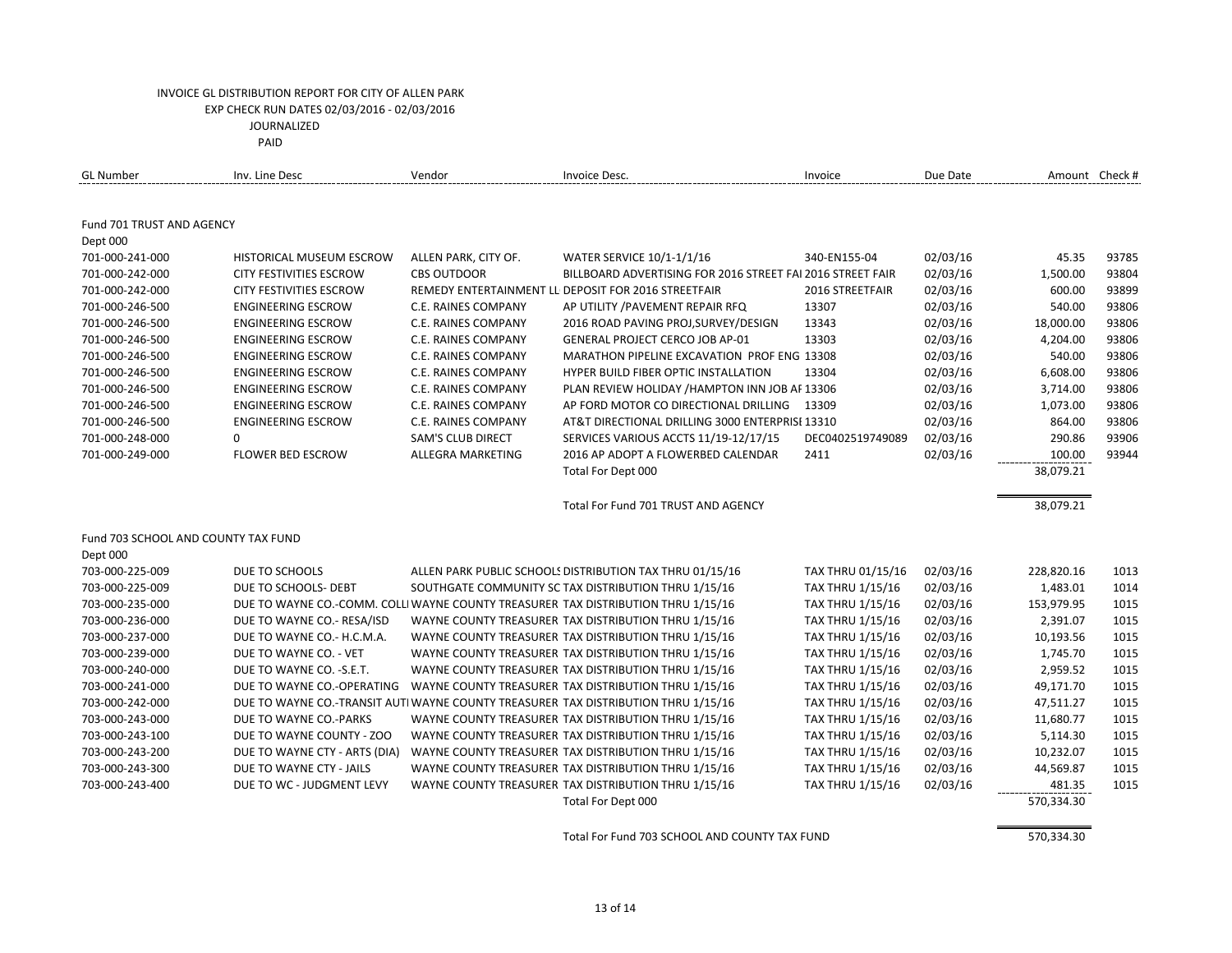| <b>GL Number</b>                    | Inv. Line Desc                 | Vendor                   | Invoice Desc.                                                                      | Invoice                 | Due Date |            | Amount Check # |
|-------------------------------------|--------------------------------|--------------------------|------------------------------------------------------------------------------------|-------------------------|----------|------------|----------------|
|                                     |                                |                          |                                                                                    |                         |          |            |                |
| Fund 701 TRUST AND AGENCY           |                                |                          |                                                                                    |                         |          |            |                |
| Dept 000                            |                                |                          |                                                                                    |                         |          |            |                |
| 701-000-241-000                     | HISTORICAL MUSEUM ESCROW       | ALLEN PARK, CITY OF.     | <b>WATER SERVICE 10/1-1/1/16</b>                                                   | 340-EN155-04            | 02/03/16 | 45.35      | 93785          |
| 701-000-242-000                     | <b>CITY FESTIVITIES ESCROW</b> | <b>CBS OUTDOOR</b>       | BILLBOARD ADVERTISING FOR 2016 STREET FAI 2016 STREET FAIR                         |                         | 02/03/16 | 1,500.00   | 93804          |
| 701-000-242-000                     | <b>CITY FESTIVITIES ESCROW</b> |                          | REMEDY ENTERTAINMENT LL DEPOSIT FOR 2016 STREETFAIR                                | 2016 STREETFAIR         | 02/03/16 | 600.00     | 93899          |
| 701-000-246-500                     | <b>ENGINEERING ESCROW</b>      | C.E. RAINES COMPANY      | AP UTILITY / PAVEMENT REPAIR RFQ                                                   | 13307                   | 02/03/16 | 540.00     | 93806          |
| 701-000-246-500                     | <b>ENGINEERING ESCROW</b>      | C.E. RAINES COMPANY      | 2016 ROAD PAVING PROJ, SURVEY/DESIGN                                               | 13343                   | 02/03/16 | 18,000.00  | 93806          |
| 701-000-246-500                     | <b>ENGINEERING ESCROW</b>      | C.E. RAINES COMPANY      | <b>GENERAL PROJECT CERCO JOB AP-01</b>                                             | 13303                   | 02/03/16 | 4,204.00   | 93806          |
| 701-000-246-500                     | <b>ENGINEERING ESCROW</b>      | C.E. RAINES COMPANY      | MARATHON PIPELINE EXCAVATION PROF ENG 13308                                        |                         | 02/03/16 | 540.00     | 93806          |
| 701-000-246-500                     | <b>ENGINEERING ESCROW</b>      | C.E. RAINES COMPANY      | <b>HYPER BUILD FIBER OPTIC INSTALLATION</b>                                        | 13304                   | 02/03/16 | 6,608.00   | 93806          |
| 701-000-246-500                     | <b>ENGINEERING ESCROW</b>      | C.E. RAINES COMPANY      | PLAN REVIEW HOLIDAY / HAMPTON INN JOB AF 13306                                     |                         | 02/03/16 | 3,714.00   | 93806          |
| 701-000-246-500                     | <b>ENGINEERING ESCROW</b>      | C.E. RAINES COMPANY      | AP FORD MOTOR CO DIRECTIONAL DRILLING                                              | 13309                   | 02/03/16 | 1,073.00   | 93806          |
| 701-000-246-500                     | <b>ENGINEERING ESCROW</b>      | C.E. RAINES COMPANY      | AT&T DIRECTIONAL DRILLING 3000 ENTERPRISI 13310                                    |                         | 02/03/16 | 864.00     | 93806          |
| 701-000-248-000                     | 0                              | <b>SAM'S CLUB DIRECT</b> | SERVICES VARIOUS ACCTS 11/19-12/17/15                                              | DEC0402519749089        | 02/03/16 | 290.86     | 93906          |
| 701-000-249-000                     | <b>FLOWER BED ESCROW</b>       | ALLEGRA MARKETING        | 2016 AP ADOPT A FLOWERBED CALENDAR                                                 | 2411                    | 02/03/16 | 100.00     | 93944          |
|                                     |                                |                          | Total For Dept 000                                                                 |                         |          | 38,079.21  |                |
|                                     |                                |                          | Total For Fund 701 TRUST AND AGENCY                                                |                         |          | 38,079.21  |                |
| Fund 703 SCHOOL AND COUNTY TAX FUND |                                |                          |                                                                                    |                         |          |            |                |
| Dept 000                            |                                |                          |                                                                                    |                         |          |            |                |
| 703-000-225-009                     | DUE TO SCHOOLS                 |                          | ALLEN PARK PUBLIC SCHOOLS DISTRIBUTION TAX THRU 01/15/16                           | TAX THRU 01/15/16       | 02/03/16 | 228,820.16 | 1013           |
| 703-000-225-009                     | DUE TO SCHOOLS- DEBT           |                          | SOUTHGATE COMMUNITY SC TAX DISTRIBUTION THRU 1/15/16                               | <b>TAX THRU 1/15/16</b> | 02/03/16 | 1,483.01   | 1014           |
| 703-000-235-000                     |                                |                          | DUE TO WAYNE CO.-COMM. COLLI WAYNE COUNTY TREASURER TAX DISTRIBUTION THRU 1/15/16  | TAX THRU 1/15/16        | 02/03/16 | 153,979.95 | 1015           |
| 703-000-236-000                     | DUE TO WAYNE CO.- RESA/ISD     |                          | WAYNE COUNTY TREASURER TAX DISTRIBUTION THRU 1/15/16                               | TAX THRU 1/15/16        | 02/03/16 | 2,391.07   | 1015           |
| 703-000-237-000                     | DUE TO WAYNE CO.- H.C.M.A.     |                          | WAYNE COUNTY TREASURER TAX DISTRIBUTION THRU 1/15/16                               | <b>TAX THRU 1/15/16</b> | 02/03/16 | 10,193.56  | 1015           |
| 703-000-239-000                     | DUE TO WAYNE CO. - VET         |                          | WAYNE COUNTY TREASURER TAX DISTRIBUTION THRU 1/15/16                               | <b>TAX THRU 1/15/16</b> | 02/03/16 | 1,745.70   | 1015           |
| 703-000-240-000                     | DUE TO WAYNE CO. - S.E.T.      |                          | WAYNE COUNTY TREASURER TAX DISTRIBUTION THRU 1/15/16                               | <b>TAX THRU 1/15/16</b> | 02/03/16 | 2,959.52   | 1015           |
| 703-000-241-000                     | DUE TO WAYNE CO.-OPERATING     |                          | WAYNE COUNTY TREASURER TAX DISTRIBUTION THRU 1/15/16                               | TAX THRU 1/15/16        | 02/03/16 | 49,171.70  | 1015           |
| 703-000-242-000                     |                                |                          | DUE TO WAYNE CO.-TRANSIT AUTI WAYNE COUNTY TREASURER TAX DISTRIBUTION THRU 1/15/16 | <b>TAX THRU 1/15/16</b> | 02/03/16 | 47,511.27  | 1015           |
| 703-000-243-000                     | DUE TO WAYNE CO.-PARKS         |                          | WAYNE COUNTY TREASURER TAX DISTRIBUTION THRU 1/15/16                               | <b>TAX THRU 1/15/16</b> | 02/03/16 | 11,680.77  | 1015           |
| 703-000-243-100                     | DUE TO WAYNE COUNTY - ZOO      |                          | WAYNE COUNTY TREASURER TAX DISTRIBUTION THRU 1/15/16                               | <b>TAX THRU 1/15/16</b> | 02/03/16 | 5,114.30   | 1015           |
| 703-000-243-200                     | DUE TO WAYNE CTY - ARTS (DIA)  |                          | WAYNE COUNTY TREASURER TAX DISTRIBUTION THRU 1/15/16                               | <b>TAX THRU 1/15/16</b> | 02/03/16 | 10,232.07  | 1015           |
| 703-000-243-300                     | DUE TO WAYNE CTY - JAILS       |                          | WAYNE COUNTY TREASURER TAX DISTRIBUTION THRU 1/15/16                               | TAX THRU 1/15/16        | 02/03/16 | 44,569.87  | 1015           |
| 703-000-243-400                     | DUE TO WC - JUDGMENT LEVY      |                          | WAYNE COUNTY TREASURER TAX DISTRIBUTION THRU 1/15/16                               | TAX THRU 1/15/16        | 02/03/16 | 481.35     | 1015           |
|                                     |                                |                          | Total For Dept 000                                                                 |                         |          | 570,334.30 |                |
|                                     |                                |                          | Total For Fund 703 SCHOOL AND COUNTY TAX FUND                                      |                         |          |            |                |